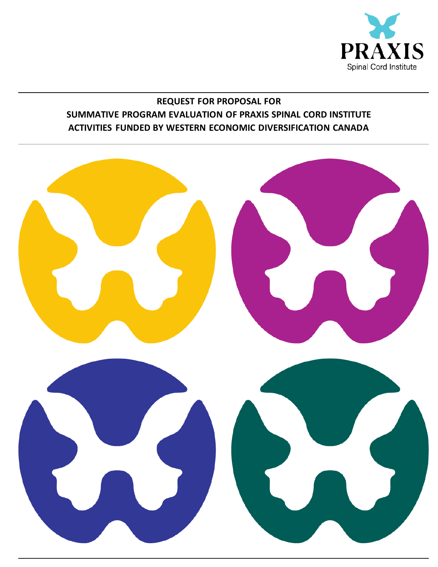

## **REQUEST FOR PROPOSAL FOR SUMMATIVE PROGRAM EVALUATION OF PRAXIS SPINAL CORD INSTITUTE ACTIVITIES FUNDED BY WESTERN ECONOMIC DIVERSIFICATION CANADA**

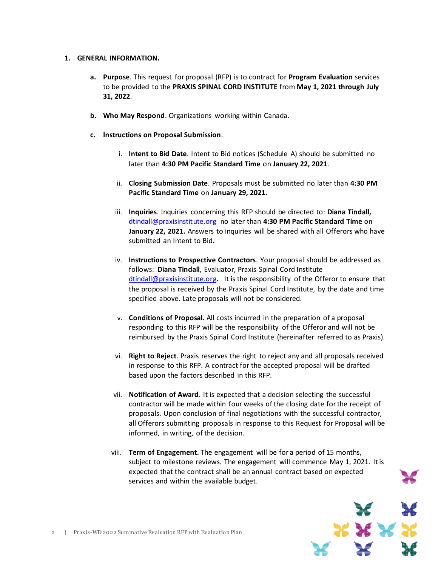#### **1. GENERAL INFORMATION.**

- **a. Purpose**. This request for proposal (RFP) is to contract for **Program Evaluation** services to be provided to the **PRAXIS SPINAL CORD INSTITUTE** from **May 1, 2021 through July 31, 2022**.
- **b. Who May Respond**. Organizations working within Canada.
- **c. Instructions on Proposal Submission**.
	- i. **Intent to Bid Date**. Intent to Bid notices (Schedule A) should be submitted no later than **4:30 PM Pacific Standard Time** on **January 22, 2021**.
	- ii. **Closing Submission Date**. Proposals must be submitted no later than **4:30 PM Pacific Standard Time** on **January 29, 2021.**
	- iii. **Inquiries**. Inquiries concerning this RFP should be directed to: **Diana Tindall,**  [dtindall@praxisinstitute.org](mailto:dtindall@praxisinstitute.org) no later than **4:30 PM Pacific Standard Time** on **January 22, 2021.** Answers to inquiries will be shared with all Offerors who have submitted an Intent to Bid.
	- iv. **Instructions to Prospective Contractors**. Your proposal should be addressed as follows: **Diana Tindall**, Evaluator, Praxis Spinal Cord Institute [dtindall@praxisinstitute.org](mailto:dtindall@praxisinstitute.org)**.** It is the responsibility of the Offeror to ensure that the proposal is received by the Praxis Spinal Cord Institute, by the date and time specified above. Late proposals will not be considered.
	- v. **Conditions of Proposal.** All costs incurred in the preparation of a proposal responding to this RFP will be the responsibility of the Offeror and will not be reimbursed by the Praxis Spinal Cord Institute (hereinafter referred to as Praxis).
	- vi. **Right to Reject**. Praxis reserves the right to reject any and all proposals received in response to this RFP. A contract for the accepted proposal will be drafted based upon the factors described in this RFP.
	- vii. **Notification of Award**. It is expected that a decision selecting the successful contractor will be made within four weeks of the closing date for the receipt of proposals. Upon conclusion of final negotiations with the successful contractor, all Offerors submitting proposals in response to this Request for Proposal will be informed, in writing, of the decision.
	- viii. **Term of Engagement.** The engagement will be for a period of 15 months, subject to milestone reviews. The engagement will commence May 1, 2021. It is expected that the contract shall be an annual contract based on expected services and within the available budget.

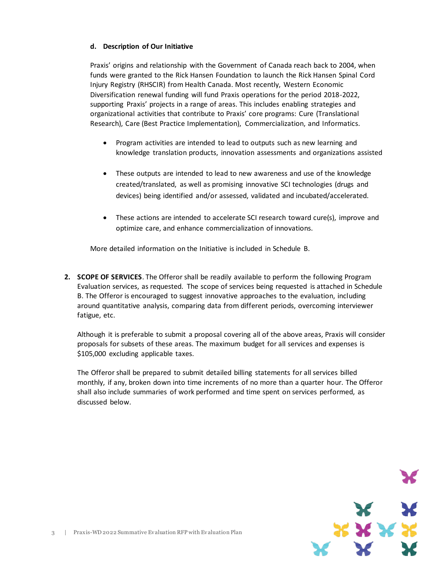#### **d. Description of Our Initiative**

Praxis' origins and relationship with the Government of Canada reach back to 2004, when funds were granted to the Rick Hansen Foundation to launch the Rick Hansen Spinal Cord Injury Registry (RHSCIR) from Health Canada. Most recently, Western Economic Diversification renewal funding will fund Praxis operations for the period 2018-2022, supporting Praxis' projects in a range of areas. This includes enabling strategies and organizational activities that contribute to Praxis' core programs: Cure (Translational Research), Care (Best Practice Implementation), Commercialization, and Informatics.

- Program activities are intended to lead to outputs such as new learning and knowledge translation products, innovation assessments and organizations assisted
- These outputs are intended to lead to new awareness and use of the knowledge created/translated, as well as promising innovative SCI technologies (drugs and devices) being identified and/or assessed, validated and incubated/accelerated.
- These actions are intended to accelerate SCI research toward cure(s), improve and optimize care, and enhance commercialization of innovations.

More detailed information on the Initiative is included in Schedule B.

**2. SCOPE OF SERVICES**. The Offeror shall be readily available to perform the following Program Evaluation services, as requested. The scope of services being requested is attached in Schedule B. The Offeror is encouraged to suggest innovative approaches to the evaluation, including around quantitative analysis, comparing data from different periods, overcoming interviewer fatigue, etc.

Although it is preferable to submit a proposal covering all of the above areas, Praxis will consider proposals for subsets of these areas. The maximum budget for all services and expenses is \$105,000 excluding applicable taxes.

The Offeror shall be prepared to submit detailed billing statements for all services billed monthly, if any, broken down into time increments of no more than a quarter hour. The Offeror shall also include summaries of work performed and time spent on services performed, as discussed below.

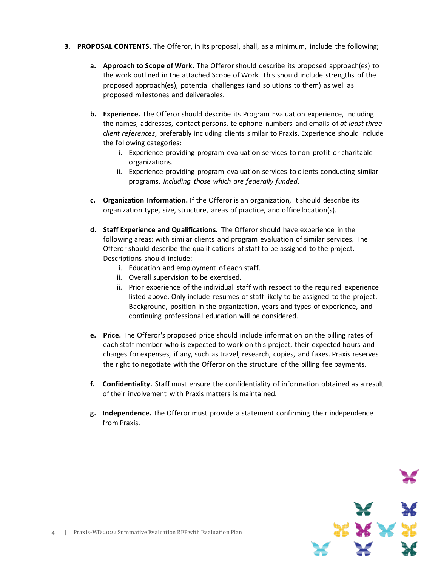- **3. PROPOSAL CONTENTS.** The Offeror, in its proposal, shall, as a minimum, include the following;
	- **a. Approach to Scope of Work**. The Offeror should describe its proposed approach(es) to the work outlined in the attached Scope of Work. This should include strengths of the proposed approach(es), potential challenges (and solutions to them) as well as proposed milestones and deliverables.
	- **b. Experience.** The Offeror should describe its Program Evaluation experience, including the names, addresses, contact persons, telephone numbers and emails of *at least three client references*, preferably including clients similar to Praxis. Experience should include the following categories:
		- i. Experience providing program evaluation services to non-profit or charitable organizations.
		- ii. Experience providing program evaluation services to clients conducting similar programs, *including those which are federally funded*.
	- **c. Organization Information.** If the Offeror is an organization, it should describe its organization type, size, structure, areas of practice, and office location(s).
	- **d. Staff Experience and Qualifications.** The Offeror should have experience in the following areas: with similar clients and program evaluation of similar services. The Offeror should describe the qualifications of staff to be assigned to the project. Descriptions should include:
		- i. Education and employment of each staff.
		- ii. Overall supervision to be exercised.
		- iii. Prior experience of the individual staff with respect to the required experience listed above. Only include resumes of staff likely to be assigned to the project. Background, position in the organization, years and types of experience, and continuing professional education will be considered.
	- **e. Price.** The Offeror's proposed price should include information on the billing rates of each staff member who is expected to work on this project, their expected hours and charges for expenses, if any, such as travel, research, copies, and faxes. Praxis reserves the right to negotiate with the Offeror on the structure of the billing fee payments.
	- **f. Confidentiality.** Staff must ensure the confidentiality of information obtained as a result of their involvement with Praxis matters is maintained.
	- **g. Independence.** The Offeror must provide a statement confirming their independence from Praxis.

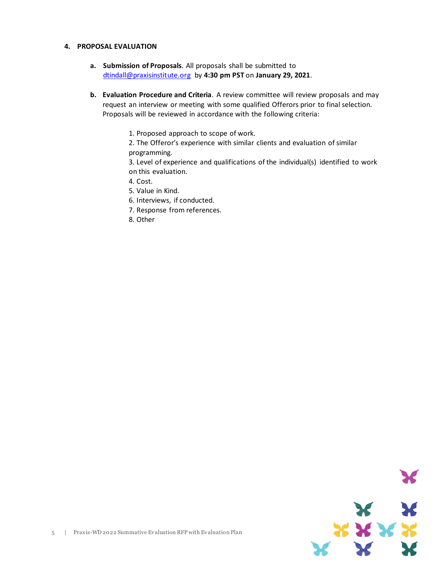#### **4. PROPOSAL EVALUATION**

- **a. Submission of Proposals**. All proposals shall be submitted to [dtindall@praxisinstitute.org](mailto:dtindall@praxisinstitute.org) by **4:30 pm PST** on **January 29, 2021**.
- **b. Evaluation Procedure and Criteria**. A review committee will review proposals and may request an interview or meeting with some qualified Offerors prior to final selection. Proposals will be reviewed in accordance with the following criteria:
	- 1. Proposed approach to scope of work.
	- 2. The Offeror's experience with similar clients and evaluation of similar programming.

3. Level of experience and qualifications of the individual(s) identified to work on this evaluation.

- 4. Cost.
- 5. Value in Kind.
- 6. Interviews, if conducted.
- 7. Response from references.
- 8. Other

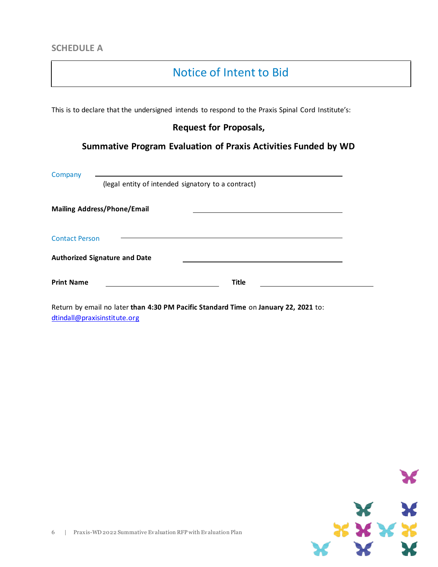## Notice of Intent to Bid

This is to declare that the undersigned intends to respond to the Praxis Spinal Cord Institute's:

#### **Request for Proposals,**

### **Summative Program Evaluation of Praxis Activities Funded by WD**

| Company               |                                                    |              |  |
|-----------------------|----------------------------------------------------|--------------|--|
|                       | (legal entity of intended signatory to a contract) |              |  |
|                       | <b>Mailing Address/Phone/Email</b>                 |              |  |
| <b>Contact Person</b> |                                                    |              |  |
|                       | <b>Authorized Signature and Date</b>               |              |  |
| <b>Print Name</b>     |                                                    | <b>Title</b> |  |

Return by email no later **than 4:30 PM Pacific Standard Time** on **January 22, 2021** to: [dtindall@praxisinstitute.org](mailto:dtindall@praxisinstitute.org)

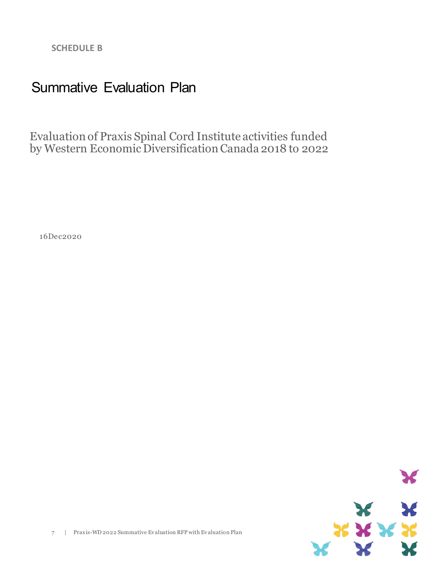**SCHEDULE B**

# Summative Evaluation Plan

Evaluation of Praxis Spinal Cord Institute activities funded by Western Economic Diversification Canada 2018 to 2022

16Dec2020

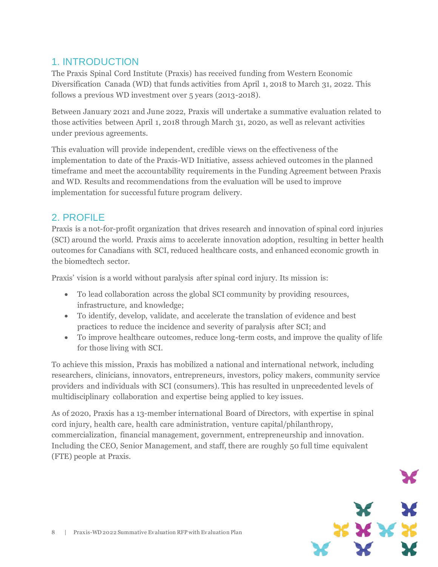### 1. INTRODUCTION

The Praxis Spinal Cord Institute (Praxis) has received funding from Western Economic Diversification Canada (WD) that funds activities from April 1, 2018 to March 31, 2022. This follows a previous WD investment over 5 years (2013-2018).

Between January 2021 and June 2022, Praxis will undertake a summative evaluation related to those activities between April 1, 2018 through March 31, 2020, as well as relevant activities under previous agreements.

This evaluation will provide independent, credible views on the effectiveness of the implementation to date of the Praxis-WD Initiative, assess achieved outcomes in the planned timeframe and meet the accountability requirements in the Funding Agreement between Praxis and WD. Results and recommendations from the evaluation will be used to improve implementation for successful future program delivery.

### 2. PROFILE

Praxis is a not-for-profit organization that drives research and innovation of spinal cord injuries (SCI) around the world. Praxis aims to accelerate innovation adoption, resulting in better health outcomes for Canadians with SCI, reduced healthcare costs, and enhanced economic growth in the biomedtech sector.

Praxis' vision is a world without paralysis after spinal cord injury. Its mission is:

- To lead collaboration across the global SCI community by providing resources, infrastructure, and knowledge;
- To identify, develop, validate, and accelerate the translation of evidence and best practices to reduce the incidence and severity of paralysis after SCI; and
- To improve healthcare outcomes, reduce long-term costs, and improve the quality of life for those living with SCI.

To achieve this mission, Praxis has mobilized a national and international network, including researchers, clinicians, innovators, entrepreneurs, investors, policy makers, community service providers and individuals with SCI (consumers). This has resulted in unprecedented levels of multidisciplinary collaboration and expertise being applied to key issues.

As of 2020, Praxis has a 13-member international Board of Directors, with expertise in spinal cord injury, health care, health care administration, venture capital/philanthropy, commercialization, financial management, government, entrepreneurship and innovation. Including the CEO, Senior Management, and staff, there are roughly 50 full time equivalent (FTE) people at Praxis.

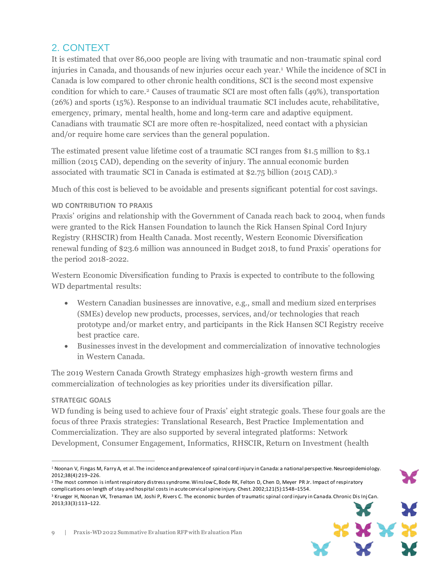### 2. CONTEXT

It is estimated that over 86,000 people are living with traumatic and non-traumatic spinal cord injuries in Canada, and thousands of new injuries occur each year.<sup>1</sup> While the incidence of SCI in Canada is low compared to other chronic health conditions, SCI is the second most expensive condition for which to care.<sup>2</sup> Causes of traumatic SCI are most often falls (49%), transportation (26%) and sports (15%). Response to an individual traumatic SCI includes acute, rehabilitative, emergency, primary, mental health, home and long-term care and adaptive equipment. Canadians with traumatic SCI are more often re-hospitalized, need contact with a physician and/or require home care services than the general population.

The estimated present value lifetime cost of a traumatic SCI ranges from \$1.5 million to \$3.1 million (2015 CAD), depending on the severity of injury. The annual economic burden associated with traumatic SCI in Canada is estimated at \$2.75 billion (2015 CAD).<sup>3</sup>

Much of this cost is believed to be avoidable and presents significant potential for cost savings.

#### **WD CONTRIBUTION TO PRAXIS**

Praxis' origins and relationship with the Government of Canada reach back to 2004, when funds were granted to the Rick Hansen Foundation to launch the Rick Hansen Spinal Cord Injury Registry (RHSCIR) from Health Canada. Most recently, Western Economic Diversification renewal funding of \$23.6 million was announced in Budget 2018, to fund Praxis' operations for the period 2018-2022.

Western Economic Diversification funding to Praxis is expected to contribute to the following WD departmental results:

- Western Canadian businesses are innovative, e.g., small and medium sized enterprises (SMEs) develop new products, processes, services, and/or technologies that reach prototype and/or market entry, and participants in the Rick Hansen SCI Registry receive best practice care.
- Businesses invest in the development and commercialization of innovative technologies in Western Canada.

The 2019 Western Canada Growth Strategy emphasizes high-growth western firms and commercialization of technologies as key priorities under its diversification pillar.

#### **STRATEGIC GOALS**

 $\overline{a}$ 

WD funding is being used to achieve four of Praxis' eight strategic goals. These four goals are the focus of three Praxis strategies: Translational Research, Best Practice Implementation and Commercialization. They are also supported by several integrated platforms: Network Development, Consumer Engagement, Informatics, RHSCIR, Return on Investment (health

<sup>&</sup>lt;sup>3</sup> Krueger H, Noonan VK, Trenaman LM, Joshi P, Rivers C. The economic burden of traumatic spinal cord injury in Canada. Chronic Dis Inj Can. 2013;33(3):113–122.



<sup>&</sup>lt;sup>1</sup> Noonan V, Fingas M, Farry A, et al. The incidence and prevalence of spinal cord injury in Canada: a national perspective. Neuroepidemiology. 2012;38(4):219–226.

<sup>2</sup> The most common is infantrespiratory distresssyndrome.WinslowC,Bode RK, Felton D, Chen D, Meyer PR Jr. Impact of respiratory complications on length of stay and hospital costs in acutecervicalspine injury. Chest. 2002;121(5):1548–1554.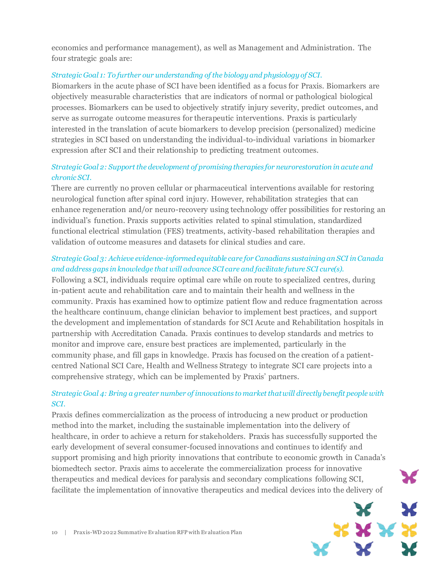economics and performance management), as well as Management and Administration. The four strategic goals are:

#### *Strategic Goal 1: To further our understanding of the biology and physiology of SCI.*

Biomarkers in the acute phase of SCI have been identified as a focus for Praxis. Biomarkers are objectively measurable characteristics that are indicators of normal or pathological biological processes. Biomarkers can be used to objectively stratify injury severity, predict outcomes, and serve as surrogate outcome measures for therapeutic interventions. Praxis is particularly interested in the translation of acute biomarkers to develop precision (personalized) medicine strategies in SCI based on understanding the individual-to-individual variations in biomarker expression after SCI and their relationship to predicting treatment outcomes.

#### *Strategic Goal 2: Support the development of promising therapies for neurorestoration in acute and chronic SCI.*

There are currently no proven cellular or pharmaceutical interventions available for restoring neurological function after spinal cord injury. However, rehabilitation strategies that can enhance regeneration and/or neuro-recovery using technology offer possibilities for restoring an individual's function. Praxis supports activities related to spinal stimulation, standardized functional electrical stimulation (FES) treatments, activity-based rehabilitation therapies and validation of outcome measures and datasets for clinical studies and care.

#### *Strategic Goal 3: Achieve evidence-informed equitable care for Canadians sustaining an SCI in Canada and address gaps in knowledge that will advance SCI care and facilitate future SCI cure(s).*

Following a SCI, individuals require optimal care while on route to specialized centres, during in-patient acute and rehabilitation care and to maintain their health and wellness in the community. Praxis has examined how to optimize patient flow and reduce fragmentation across the healthcare continuum, change clinician behavior to implement best practices, and support the development and implementation of standards for SCI Acute and Rehabilitation hospitals in partnership with Accreditation Canada. Praxis continues to develop standards and metrics to monitor and improve care, ensure best practices are implemented, particularly in the community phase, and fill gaps in knowledge. Praxis has focused on the creation of a patientcentred National SCI Care, Health and Wellness Strategy to integrate SCI care projects into a comprehensive strategy, which can be implemented by Praxis' partners.

#### *Strategic Goal 4: Bring a greater number of innovations to market that will directly benefit people with SCI.*

Praxis defines commercialization as the process of introducing a new product or production method into the market, including the sustainable implementation into the delivery of healthcare, in order to achieve a return for stakeholders. Praxis has successfully supported the early development of several consumer-focused innovations and continues to identify and support promising and high priority innovations that contribute to economic growth in Canada's biomedtech sector. Praxis aims to accelerate the commercialization process for innovative therapeutics and medical devices for paralysis and secondary complications following SCI, facilitate the implementation of innovative therapeutics and medical devices into the delivery of

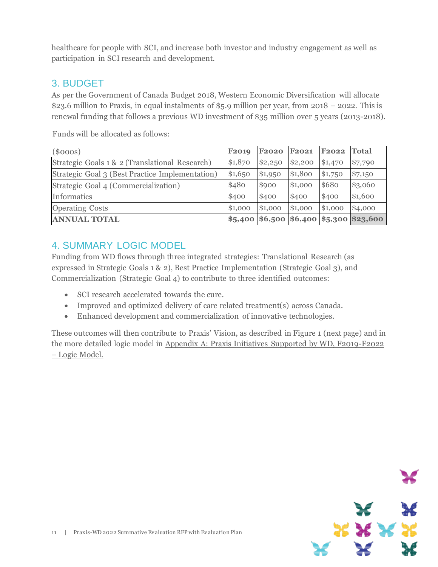healthcare for people with SCI, and increase both investor and industry engagement as well as participation in SCI research and development.

### 3. BUDGET

As per the Government of Canada Budget 2018, Western Economic Diversification will allocate \$23.6 million to Praxis, in equal instalments of \$5.9 million per year, from 2018 – 2022. This is renewal funding that follows a previous WD investment of \$35 million over 5 years (2013-2018).

(\$000s) **F2019 F2020 F2021 F2022 Total** Strategic Goals 1 & 2 (Translational Research) \$1,870 \$2,250 \$2,200 \$1,470 \$7,790 Strategic Goal 3 (Best Practice Implementation) \$1,650 \$1,950 \$1,800 \$1,750 \$7,150 Strategic Goal 4 (Commercialization)  $\frac{1}{480}$  \$480 \$900 \$1,000 \$680 \$3,060 Informatics  $\begin{array}{ccc} \text{Informations} & \text{[1]} & \text{[1]} \\ \text{[1]} & \text{[1]} & \text{[1]} \\ \text{[1]} & \text{[1]} & \text{[1]} \\ \text{[1]} & \text{[1]} & \text{[1]} \end{array}$ Operating Costs **61,000** \$1,000 \$1,000 \$1,000 \$1,000 \$4,000 **ANNUAL TOTAL \$5,400 \$6,500 \$6,400 \$5,300 \$23,600**

Funds will be allocated as follows:

### 4. SUMMARY LOGIC MODEL

Funding from WD flows through three integrated strategies: Translational Research (as expressed in Strategic Goals 1 & 2), Best Practice Implementation (Strategic Goal 3), and Commercialization (Strategic Goal 4) to contribute to three identified outcomes:

- SCI research accelerated towards the cure.
- Improved and optimized delivery of care related treatment(s) across Canada.
- Enhanced development and commercialization of innovative technologies.

These outcomes will then contribute to Praxis' Vision, as described in Figure 1 (next page) and in the more detailed logic model in Appendix A: Praxis Initiatives Supported by WD, F2019-F2022 – Logic Model.

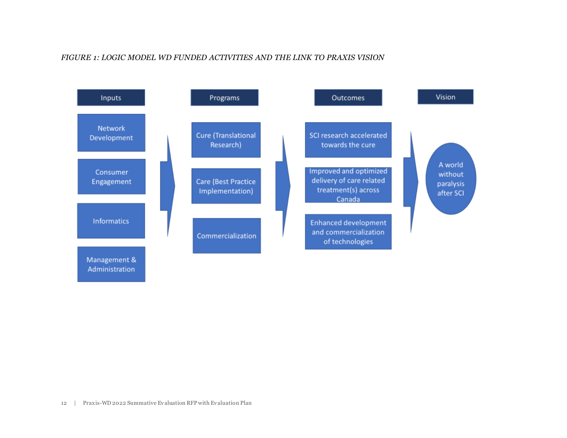#### *FIGURE 1: LOGIC MODEL WD FUNDED ACTIVITIES AND THE LINK TO PRAXIS VISION*

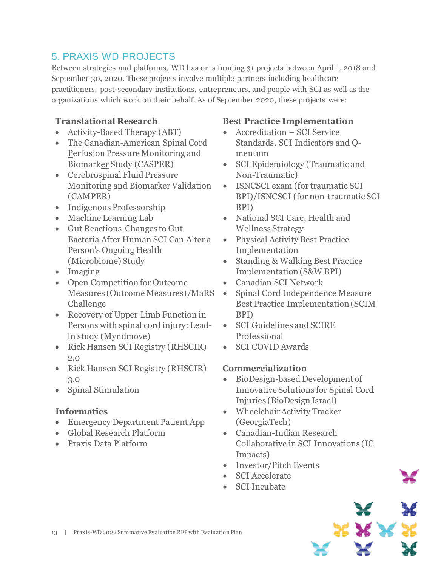## 5. PRAXIS-WD PROJECTS

Between strategies and platforms, WD has or is funding 31 projects between April 1, 2018 and September 30, 2020. These projects involve multiple partners including healthcare practitioners, post-secondary institutions, entrepreneurs, and people with SCI as well as the organizations which work on their behalf. As of September 2020, these projects were:

### **Translational Research**

- Activity-Based Therapy (ABT)
- The Canadian-American Spinal Cord Perfusion Pressure Monitoring and Biomarker Study (CASPER)
- Cerebrospinal Fluid Pressure Monitoring and Biomarker Validation (CAMPER)
- Indigenous Professorship
- Machine Learning Lab
- Gut Reactions-Changes to Gut Bacteria After Human SCI Can Alter a Person's Ongoing Health (Microbiome) Study
- Imaging
- Open Competition for Outcome Measures (Outcome Measures)/MaRS • Challenge
- Recovery of Upper Limb Function in Persons with spinal cord injury: Leadln study (Myndmove)
- Rick Hansen SCI Registry (RHSCIR) 2.0
- Rick Hansen SCI Registry (RHSCIR) 3.0
- Spinal Stimulation

### **Informatics**

- Emergency Department Patient App
- Global Research Platform
- Praxis Data Platform

### **Best Practice Implementation**

- Accreditation SCI Service Standards, SCI Indicators and Qmentum
- SCI Epidemiology (Traumatic and Non-Traumatic)
- ISNCSCI exam (for traumatic SCI BPI)/ISNCSCI (for non-traumatic SCI BPI)
- National SCI Care, Health and Wellness Strategy
- Physical Activity Best Practice Implementation
- Standing & Walking Best Practice Implementation (S&W BPI)
- Canadian SCI Network
- Spinal Cord Independence Measure Best Practice Implementation (SCIM BPI)
- SCI Guidelines and SCIRE Professional
- SCI COVID Awards

### **Commercialization**

- BioDesign-based Development of Innovative Solutions for Spinal Cord Injuries (BioDesign Israel)
- Wheelchair Activity Tracker (GeorgiaTech)
- Canadian-Indian Research Collaborative in SCI Innovations (IC Impacts)
- Investor/Pitch Events
- SCI Accelerate
- SCI Incubate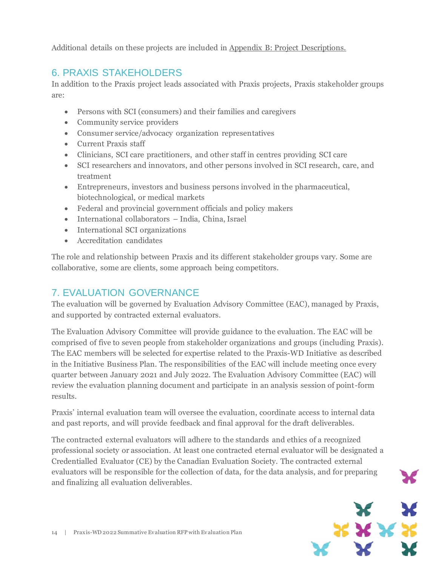Additional details on these projects are included in Appendix B: Project Descriptions.

### 6. PRAXIS STAKEHOLDERS

In addition to the Praxis project leads associated with Praxis projects, Praxis stakeholder groups are:

- Persons with SCI (consumers) and their families and caregivers
- Community service providers
- Consumer service/advocacy organization representatives
- Current Praxis staff
- Clinicians, SCI care practitioners, and other staff in centres providing SCI care
- SCI researchers and innovators, and other persons involved in SCI research, care, and treatment
- Entrepreneurs, investors and business persons involved in the pharmaceutical, biotechnological, or medical markets
- Federal and provincial government officials and policy makers
- International collaborators India, China, Israel
- International SCI organizations
- Accreditation candidates

The role and relationship between Praxis and its different stakeholder groups vary. Some are collaborative, some are clients, some approach being competitors.

### 7. EVALUATION GOVERNANCE

The evaluation will be governed by Evaluation Advisory Committee (EAC), managed by Praxis, and supported by contracted external evaluators.

The Evaluation Advisory Committee will provide guidance to the evaluation. The EAC will be comprised of five to seven people from stakeholder organizations and groups (including Praxis). The EAC members will be selected for expertise related to the Praxis-WD Initiative as described in the Initiative Business Plan. The responsibilities of the EAC will include meeting once every quarter between January 2021 and July 2022. The Evaluation Advisory Committee (EAC) will review the evaluation planning document and participate in an analysis session of point-form results.

Praxis' internal evaluation team will oversee the evaluation, coordinate access to internal data and past reports, and will provide feedback and final approval for the draft deliverables.

The contracted external evaluators will adhere to the standards and ethics of a recognized professional society or association. At least one contracted eternal evaluator will be designated a Credentialled Evaluator (CE) by the Canadian Evaluation Society. The contracted external evaluators will be responsible for the collection of data, for the data analysis, and for preparing and finalizing all evaluation deliverables.

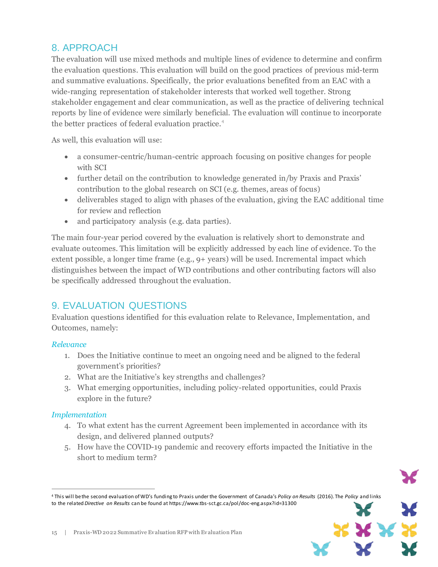### 8. APPROACH

The evaluation will use mixed methods and multiple lines of evidence to determine and confirm the evaluation questions. This evaluation will build on the good practices of previous mid-term and summative evaluations. Specifically, the prior evaluations benefited from an EAC with a wide-ranging representation of stakeholder interests that worked well together. Strong stakeholder engagement and clear communication, as well as the practice of delivering technical reports by line of evidence were similarly beneficial. The evaluation will continue to incorporate the better practices of federal evaluation practice.<sup>4</sup>

As well, this evaluation will use:

- a consumer-centric/human-centric approach focusing on positive changes for people with SCI
- further detail on the contribution to knowledge generated in/by Praxis and Praxis' contribution to the global research on SCI (e.g. themes, areas of focus)
- deliverables staged to align with phases of the evaluation, giving the EAC additional time for review and reflection
- and participatory analysis (e.g. data parties).

The main four-year period covered by the evaluation is relatively short to demonstrate and evaluate outcomes. This limitation will be explicitly addressed by each line of evidence. To the extent possible, a longer time frame (e.g., 9+ years) will be used. Incremental impact which distinguishes between the impact of WD contributions and other contributing factors will also be specifically addressed throughout the evaluation.

### 9. EVALUATION QUESTIONS

Evaluation questions identified for this evaluation relate to Relevance, Implementation, and Outcomes, namely:

#### *Relevance*

- 1. Does the Initiative continue to meet an ongoing need and be aligned to the federal government's priorities?
- 2. What are the Initiative's key strengths and challenges?
- 3. What emerging opportunities, including policy-related opportunities, could Praxis explore in the future?

#### *Implementation*

 $\overline{a}$ 

- 4. To what extent has the current Agreement been implemented in accordance with its design, and delivered planned outputs?
- 5. How have the COVID-19 pandemic and recovery efforts impacted the Initiative in the short to medium term?



<sup>4</sup> This will bethe second evaluation of WD's funding to Praxis under the Government of Canada's *Policy on Results* (2016). The *Policy* and links to the related *Directive on Results* can be found at https://www.tbs-sct.gc.ca/pol/doc-eng.aspx?id=31300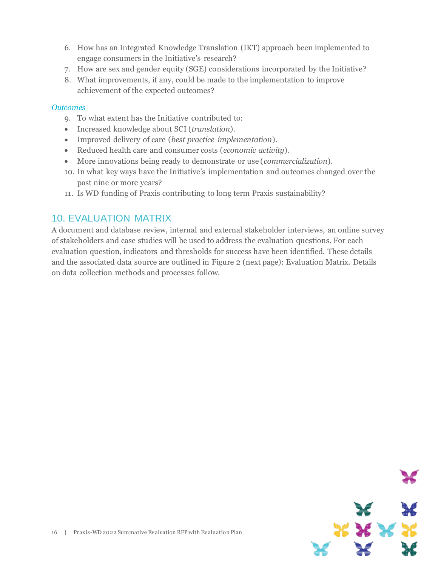- 6. How has an Integrated Knowledge Translation (IKT) approach been implemented to engage consumers in the Initiative's research?
- 7. How are sex and gender equity (SGE) considerations incorporated by the Initiative?
- 8. What improvements, if any, could be made to the implementation to improve achievement of the expected outcomes?

#### *Outcomes*

- 9. To what extent has the Initiative contributed to:
- Increased knowledge about SCI (*translation*).
- Improved delivery of care (*best practice implementation*).
- Reduced health care and consumer costs (*economic activity*).
- More innovations being ready to demonstrate or use (*commercialization*).
- 10. In what key ways have the Initiative's implementation and outcomes changed over the past nine or more years?
- 11. Is WD funding of Praxis contributing to long term Praxis sustainability?

### 10. EVALUATION MATRIX

A document and database review, internal and external stakeholder interviews, an online survey of stakeholders and case studies will be used to address the evaluation questions. For each evaluation question, indicators and thresholds for success have been identified. These details and the associated data source are outlined in Figure 2 (next page): Evaluation Matrix. Details on data collection methods and processes follow.

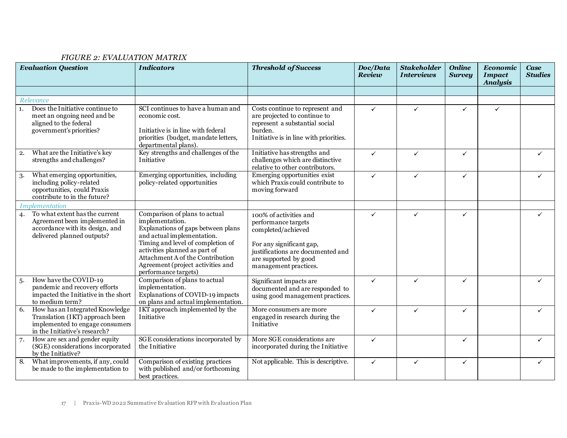#### *FIGURE 2: EVALUATION MATRIX*

|    | <b>Evaluation Question</b>                                                                                                             | <b>Indicators</b>                                                                                                                                                                                                                                                                           | <b>Threshold of Success</b>                                                                                                                                                            | Doc/Data<br>Review | <b>Stakeholder</b><br><b>Interviews</b> | <b>Online</b><br><b>Survey</b> | Economic<br><b>Impact</b><br><b>Analysis</b> | <b>Case</b><br><b>Studies</b> |
|----|----------------------------------------------------------------------------------------------------------------------------------------|---------------------------------------------------------------------------------------------------------------------------------------------------------------------------------------------------------------------------------------------------------------------------------------------|----------------------------------------------------------------------------------------------------------------------------------------------------------------------------------------|--------------------|-----------------------------------------|--------------------------------|----------------------------------------------|-------------------------------|
|    |                                                                                                                                        |                                                                                                                                                                                                                                                                                             |                                                                                                                                                                                        |                    |                                         |                                |                                              |                               |
|    | Relevance                                                                                                                              |                                                                                                                                                                                                                                                                                             |                                                                                                                                                                                        |                    |                                         |                                |                                              |                               |
| 1. | Does the Initiative continue to<br>meet an ongoing need and be<br>aligned to the federal<br>government's priorities?                   | SCI continues to have a human and<br>economic cost.<br>Initiative is in line with federal<br>priorities (budget, mandate letters,<br>departmental plans).                                                                                                                                   | Costs continue to represent and<br>are projected to continue to<br>represent a substantial social<br>burden.<br>Initiative is in line with priorities.                                 | $\checkmark$       | ✓                                       | $\checkmark$                   | $\checkmark$                                 |                               |
| 2. | What are the Initiative's key<br>strengths and challenges?                                                                             | Key strengths and challenges of the<br>Initiative                                                                                                                                                                                                                                           | Initiative has strengths and<br>challenges which are distinctive<br>relative to other contributors.                                                                                    | ✓                  | ✓                                       | ✓                              |                                              |                               |
| 3. | What emerging opportunities,<br>including policy-related<br>opportunities, could Praxis<br>contribute to in the future?                | Emerging opportunities, including<br>policy-related opportunities                                                                                                                                                                                                                           | Emerging opportunities exist<br>which Praxis could contribute to<br>moving forward                                                                                                     | $\checkmark$       | $\checkmark$                            | $\checkmark$                   |                                              |                               |
|    | Implementation                                                                                                                         |                                                                                                                                                                                                                                                                                             |                                                                                                                                                                                        |                    |                                         |                                |                                              |                               |
| 4. | To what extent has the current<br>Agreement been implemented in<br>accordance with its design, and<br>delivered planned outputs?       | Comparison of plans to actual<br>implementation.<br>Explanations of gaps between plans<br>and actual implementation.<br>Timing and level of completion of<br>activities planned as part of<br>Attachment A of the Contribution<br>Agreement (project activities and<br>performance targets) | 100% of activities and<br>performance targets<br>completed/achieved<br>For any significant gap,<br>justifications are documented and<br>are supported by good<br>management practices. | $\checkmark$       | $\checkmark$                            | $\checkmark$                   |                                              | $\checkmark$                  |
| 5. | How have the COVID-19<br>pandemic and recovery efforts<br>impacted the Initiative in the short<br>to medium term?                      | Comparison of plans to actual<br>implementation.<br>Explanations of COVID-19 impacts<br>on plans and actual implementation.                                                                                                                                                                 | Significant impacts are<br>documented and are responded to<br>using good management practices.                                                                                         | ✓                  | ✓                                       | $\checkmark$                   |                                              | ✓                             |
| 6. | How has an Integrated Knowledge<br>Translation (IKT) approach been<br>implemented to engage consumers<br>in the Initiative's research? | IKT approach implemented by the<br>Initiative                                                                                                                                                                                                                                               | More consumers are more<br>engaged in research during the<br>Initiative                                                                                                                | ✓                  | ✓                                       | ✓                              |                                              | ✓                             |
| 7. | How are sex and gender equity<br>(SGE) considerations incorporated<br>by the Initiative?                                               | SGE considerations incorporated by<br>the Initiative                                                                                                                                                                                                                                        | More SGE considerations are<br>incorporated during the Initiative                                                                                                                      | ✓                  |                                         | ✓                              |                                              |                               |
| 8. | What improvements, if any, could<br>be made to the implementation to                                                                   | Comparison of existing practices<br>with published and/or forthcoming<br>best practices.                                                                                                                                                                                                    | Not applicable. This is descriptive.                                                                                                                                                   | $\checkmark$       | $\checkmark$                            | ✓                              |                                              | ✓                             |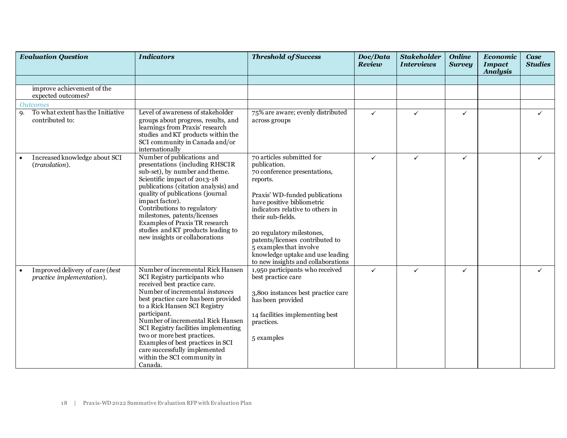| <b>Evaluation Question</b>                                   | <b>Indicators</b>                                                                                                                                                                                                                                                                                                                                                                                                                                          | <b>Threshold of Success</b>                                                                                                                                                                                                                                                                                                                                                         | Doc/Data<br>Review | <b>Stakeholder</b><br><b>Interviews</b> | <b>Online</b><br><b>Survey</b> | Economic<br><b>Impact</b><br><b>Analysis</b> | <b>Case</b><br><b>Studies</b> |  |
|--------------------------------------------------------------|------------------------------------------------------------------------------------------------------------------------------------------------------------------------------------------------------------------------------------------------------------------------------------------------------------------------------------------------------------------------------------------------------------------------------------------------------------|-------------------------------------------------------------------------------------------------------------------------------------------------------------------------------------------------------------------------------------------------------------------------------------------------------------------------------------------------------------------------------------|--------------------|-----------------------------------------|--------------------------------|----------------------------------------------|-------------------------------|--|
|                                                              |                                                                                                                                                                                                                                                                                                                                                                                                                                                            |                                                                                                                                                                                                                                                                                                                                                                                     |                    |                                         |                                |                                              |                               |  |
| improve achievement of the<br>expected outcomes?             |                                                                                                                                                                                                                                                                                                                                                                                                                                                            |                                                                                                                                                                                                                                                                                                                                                                                     |                    |                                         |                                |                                              |                               |  |
| <i><b>Outcomes</b></i>                                       |                                                                                                                                                                                                                                                                                                                                                                                                                                                            |                                                                                                                                                                                                                                                                                                                                                                                     |                    |                                         |                                |                                              |                               |  |
| To what extent has the Initiative<br>9.<br>contributed to:   | Level of awareness of stakeholder<br>groups about progress, results, and<br>learnings from Praxis' research<br>studies and KT products within the<br>SCI community in Canada and/or<br>internationally                                                                                                                                                                                                                                                     | 75% are aware; evenly distributed<br>across groups                                                                                                                                                                                                                                                                                                                                  | $\checkmark$       | $\checkmark$                            | ✓                              |                                              | $\checkmark$                  |  |
| Increased knowledge about SCI<br>(translation).              | Number of publications and<br>presentations (including RHSCIR<br>sub-set), by number and theme.<br>Scientific impact of 2013-18<br>publications (citation analysis) and<br>quality of publications (journal<br>impact factor).<br>Contributions to regulatory<br>milestones, patents/licenses<br>Examples of Praxis TR research<br>studies and KT products leading to<br>new insights or collaborations                                                    | 70 articles submitted for<br>publication.<br>70 conference presentations,<br>reports.<br>Praxis' WD-funded publications<br>have positive bibliometric<br>indicators relative to others in<br>their sub-fields.<br>20 regulatory milestones,<br>patents/licenses contributed to<br>5 examples that involve<br>knowledge uptake and use leading<br>to new insights and collaborations | $\checkmark$       | $\checkmark$                            | ✓                              |                                              | ✓                             |  |
| Improved delivery of care (best<br>practice implementation). | Number of incremental Rick Hansen<br>SCI Registry participants who<br>received best practice care.<br>Number of incremental instances<br>best practice care has been provided<br>to a Rick Hansen SCI Registry<br>participant.<br>Number of incremental Rick Hansen<br>SCI Registry facilities implementing<br>two or more best practices.<br>Examples of best practices in SCI<br>care successfully implemented<br>within the SCI community in<br>Canada. | 1,950 participants who received<br>best practice care<br>3,800 instances best practice care<br>has been provided<br>14 facilities implementing best<br>practices.<br>5 examples                                                                                                                                                                                                     | $\checkmark$       | $\checkmark$                            | ✓                              |                                              | ✓                             |  |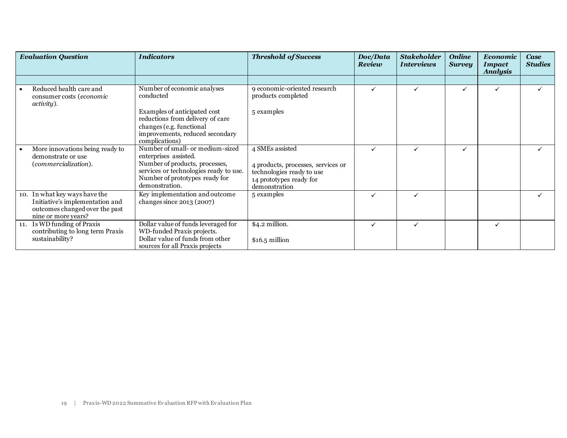| <b>Evaluation Question</b>                                                                                                | <b>Indicators</b>                                                                                                                                                                         | <b>Threshold of Success</b>                                                                                                    | Doc/Data<br><b>Review</b> | <b>Stakeholder</b><br><i><b>Interviews</b></i> | <b>Online</b><br><b>Survey</b> | <b>Economic</b><br><b>Impact</b><br><b>Analysis</b> | Case<br><b>Studies</b> |
|---------------------------------------------------------------------------------------------------------------------------|-------------------------------------------------------------------------------------------------------------------------------------------------------------------------------------------|--------------------------------------------------------------------------------------------------------------------------------|---------------------------|------------------------------------------------|--------------------------------|-----------------------------------------------------|------------------------|
|                                                                                                                           |                                                                                                                                                                                           |                                                                                                                                |                           |                                                |                                |                                                     |                        |
| Reduced health care and<br>consumer costs (economic<br><i>activity</i> ).                                                 | Number of economic analyses<br>conducted                                                                                                                                                  | 9 economic-oriented research<br>products completed                                                                             |                           |                                                | ✓                              |                                                     |                        |
|                                                                                                                           | Examples of anticipated cost<br>reductions from delivery of care<br>changes (e.g. functional<br>improvements, reduced secondary<br>complications)                                         | 5 examples                                                                                                                     |                           |                                                |                                |                                                     |                        |
| More innovations being ready to<br>demonstrate or use<br>(commercialization).                                             | Number of small- or medium-sized<br>enterprises assisted.<br>Number of products, processes,<br>services or technologies ready to use.<br>Number of prototypes ready for<br>demonstration. | 4 SMEs assisted<br>4 products, processes, services or<br>technologies ready to use<br>14 prototypes ready for<br>demonstration | $\checkmark$              | $\checkmark$                                   |                                |                                                     |                        |
| 10. In what key ways have the<br>Initiative's implementation and<br>outcomes changed over the past<br>nine or more years? | Key implementation and outcome<br>changes since $2013(2007)$                                                                                                                              | 5 examples                                                                                                                     |                           | ✓                                              |                                |                                                     |                        |
| 11. Is WD funding of Praxis<br>contributing to long term Praxis<br>sustainability?                                        | Dollar value of funds leveraged for<br>WD-funded Praxis projects.<br>Dollar value of funds from other<br>sources for all Praxis projects                                                  | \$4.2 million.<br>$$16.5$ million                                                                                              | $\checkmark$              |                                                |                                |                                                     |                        |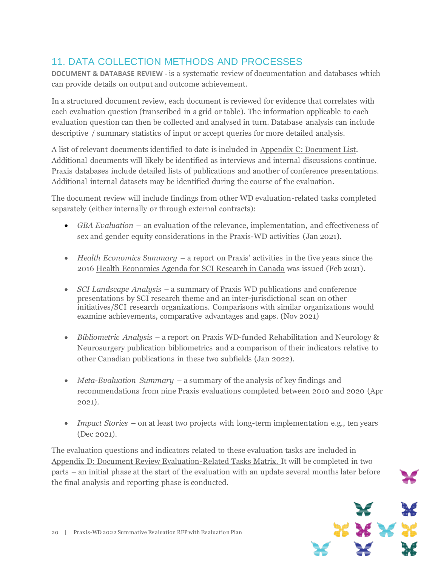## 11. DATA COLLECTION METHODS AND PROCESSES

**DOCUMENT & DATABASE REVIEW -** is a systematic review of documentation and databases which can provide details on output and outcome achievement.

In a structured document review, each document is reviewed for evidence that correlates with each evaluation question (transcribed in a grid or table). The information applicable to each evaluation question can then be collected and analysed in turn. Database analysis can include descriptive / summary statistics of input or accept queries for more detailed analysis.

A list of relevant documents identified to date is included in Appendix C: Document List. Additional documents will likely be identified as interviews and internal discussions continue. Praxis databases include detailed lists of publications and another of conference presentations. Additional internal datasets may be identified during the course of the evaluation.

The document review will include findings from other WD evaluation-related tasks completed separately (either internally or through external contracts):

- *GBA Evaluation* an evaluation of the relevance, implementation, and effectiveness of sex and gender equity considerations in the Praxis-WD activities (Jan 2021).
- *Health Economics Summary* a report on Praxis' activities in the five years since the 2016 Health Economics Agenda for SCI Research in Canada was issued (Feb 2021).
- *SCI Landscape Analysis* a summary of Praxis WD publications and conference presentations by SCI research theme and an inter-jurisdictional scan on other initiatives/SCI research organizations. Comparisons with similar organizations would examine achievements, comparative advantages and gaps. (Nov 2021)
- *Bibliometric Analysis* a report on Praxis WD-funded Rehabilitation and Neurology & Neurosurgery publication bibliometrics and a comparison of their indicators relative to other Canadian publications in these two subfields (Jan 2022).
- *Meta-Evaluation Summary* a summary of the analysis of key findings and recommendations from nine Praxis evaluations completed between 2010 and 2020 (Apr 2021).
- *Impact Stories* on at least two projects with long-term implementation e.g., ten years (Dec 2021).

The evaluation questions and indicators related to these evaluation tasks are included in Appendix D: Document Review Evaluation-Related Tasks Matrix. It will be completed in two parts – an initial phase at the start of the evaluation with an update several months later before the final analysis and reporting phase is conducted.

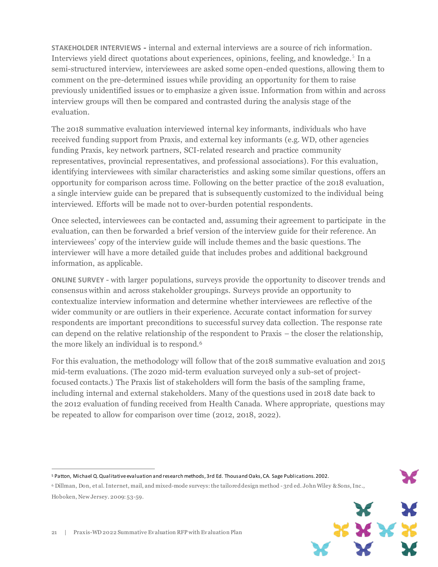**STAKEHOLDER INTERVIEWS** *-* internal and external interviews are a source of rich information. Interviews yield direct quotations about experiences, opinions, feeling, and knowledge.<sup>5</sup> In a semi-structured interview, interviewees are asked some open-ended questions, allowing them to comment on the pre-determined issues while providing an opportunity for them to raise previously unidentified issues or to emphasize a given issue. Information from within and across interview groups will then be compared and contrasted during the analysis stage of the evaluation.

The 2018 summative evaluation interviewed internal key informants, individuals who have received funding support from Praxis, and external key informants (e.g. WD, other agencies funding Praxis, key network partners, SCI-related research and practice community representatives, provincial representatives, and professional associations). For this evaluation, identifying interviewees with similar characteristics and asking some similar questions, offers an opportunity for comparison across time. Following on the better practice of the 2018 evaluation, a single interview guide can be prepared that is subsequently customized to the individual being interviewed. Efforts will be made not to over-burden potential respondents.

Once selected, interviewees can be contacted and, assuming their agreement to participate in the evaluation, can then be forwarded a brief version of the interview guide for their reference. An interviewees' copy of the interview guide will include themes and the basic questions. The interviewer will have a more detailed guide that includes probes and additional background information, as applicable.

**ONLINE SURVEY** - with larger populations, surveys provide the opportunity to discover trends and consensus within and across stakeholder groupings. Surveys provide an opportunity to contextualize interview information and determine whether interviewees are reflective of the wider community or are outliers in their experience. Accurate contact information for survey respondents are important preconditions to successful survey data collection. The response rate can depend on the relative relationship of the respondent to Praxis – the closer the relationship, the more likely an individual is to respond.<sup>6</sup>

For this evaluation, the methodology will follow that of the 2018 summative evaluation and 2015 mid-term evaluations. (The 2020 mid-term evaluation surveyed only a sub-set of projectfocused contacts.) The Praxis list of stakeholders will form the basis of the sampling frame, including internal and external stakeholders. Many of the questions used in 2018 date back to the 2012 evaluation of funding received from Health Canada. Where appropriate, questions may be repeated to allow for comparison over time (2012, 2018, 2022).

<sup>6</sup> Dillman, Don, et al. Internet, mail, and mixed-mode surveys:the tailoreddesign method - 3rd ed. John Wiley &Sons,Inc., Hoboken, New Jersey. 2009: 53-59.



 $\overline{a}$ <sup>5</sup> Patton, Michael Q.Qualitative evaluation and research methods, 3rd Ed. Thousand Oaks, CA. Sage Publications. 2002.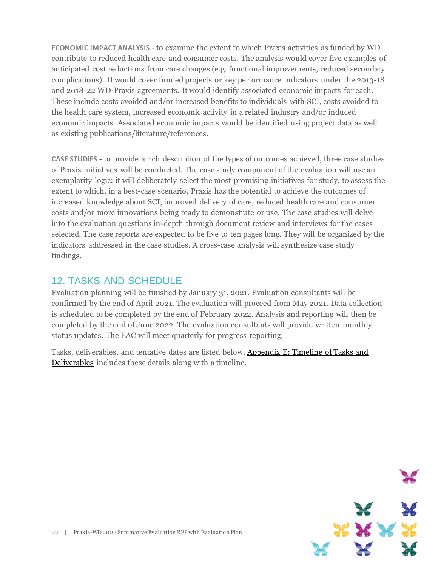**ECONOMIC IMPACT ANALYSIS** - to examine the extent to which Praxis activities as funded by WD contribute to reduced health care and consumer costs. The analysis would cover five examples of anticipated cost reductions from care changes (e.g. functional improvements, reduced secondary complications). It would cover funded projects or key performance indicators under the 2013-18 and 2018-22 WD-Praxis agreements. It would identify associated economic impacts for each. These include costs avoided and/or increased benefits to individuals with SCI, costs avoided to the health care system, increased economic activity in a related industry and/or induced economic impacts. Associated economic impacts would be identified using project data as well as existing publications/literature/references.

**CASE STUDIES** - to provide a rich description of the types of outcomes achieved, three case studies of Praxis initiatives will be conducted. The case study component of the evaluation will use an exemplarity logic: it will deliberately select the most promising initiatives for study, to assess the extent to which, in a best-case scenario, Praxis has the potential to achieve the outcomes of increased knowledge about SCI, improved delivery of care, reduced health care and consumer costs and/or more innovations being ready to demonstrate or use. The case studies will delve into the evaluation questions in-depth through document review and interviews for the cases selected. The case reports are expected to be five to ten pages long. They will be organized by the indicators addressed in the case studies. A cross-case analysis will synthesize case study findings.

### 12. TASKS AND SCHEDULE

Evaluation planning will be finished by January 31, 2021. Evaluation consultants will be confirmed by the end of April 2021. The evaluation will proceed from May 2021. Data collection is scheduled to be completed by the end of February 2022. Analysis and reporting will then be completed by the end of June 2022. The evaluation consultants will provide written monthly status updates. The EAC will meet quarterly for progress reporting.

Tasks, deliverables, and tentative dates are listed below. Appendix E: Timeline of Tasks and Deliverables includes these details along with a timeline.

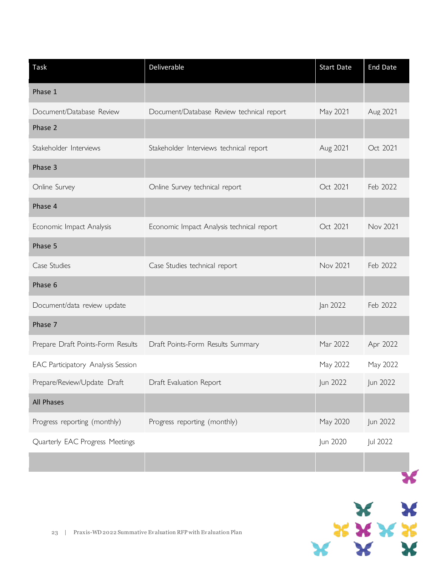| Task                               | Deliverable                               | <b>Start Date</b> | <b>End Date</b> |
|------------------------------------|-------------------------------------------|-------------------|-----------------|
| Phase 1                            |                                           |                   |                 |
| Document/Database Review           | Document/Database Review technical report | May 2021          | Aug 2021        |
| Phase 2                            |                                           |                   |                 |
| Stakeholder Interviews             | Stakeholder Interviews technical report   | Aug 2021          | Oct 2021        |
| Phase 3                            |                                           |                   |                 |
| Online Survey                      | Online Survey technical report            | Oct 2021          | Feb 2022        |
| Phase 4                            |                                           |                   |                 |
| Economic Impact Analysis           | Economic Impact Analysis technical report | Oct 2021          | <b>Nov 2021</b> |
| Phase 5                            |                                           |                   |                 |
| Case Studies                       | Case Studies technical report             | Nov 2021          | Feb 2022        |
| Phase 6                            |                                           |                   |                 |
| Document/data review update        |                                           | Jan 2022          | Feb 2022        |
| Phase 7                            |                                           |                   |                 |
| Prepare Draft Points-Form Results  | Draft Points-Form Results Summary         | Mar 2022          | Apr 2022        |
| EAC Participatory Analysis Session |                                           | May 2022          | May 2022        |
| Prepare/Review/Update Draft        | Draft Evaluation Report                   | Jun 2022          | Jun 2022        |
| All Phases                         |                                           |                   |                 |
| Progress reporting (monthly)       | Progress reporting (monthly)              | May 2020          | Jun 2022        |
| Quarterly EAC Progress Meetings    |                                           | Jun 2020          | Jul 2022        |
|                                    |                                           |                   |                 |
|                                    |                                           |                   |                 |

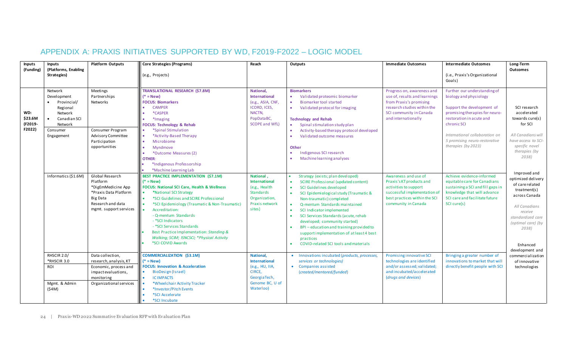## APPENDIX A: PRAXIS INITIATIVES SUPPORTED BY WD, F2019-F2022 – LOGIC MODEL

| <b>Inputs</b><br>(Funding)          | <b>Inputs</b><br>(Platforms, Enabling<br>Strategies)                                                              | <b>Platform Outputs</b>                                                                                                                      | <b>Core Strategies (Programs)</b><br>(e.g., Projects)                                                                                                                                                                                                                                                                                                                                                                                                  | Reach                                                                                                                          | Outputs                                                                                                                                                                                                                                                                                                                                                                                                                                                                                                                                                        | <b>Immediate Outcomes</b>                                                                                                                                               | <b>Intermediate Outcomes</b><br>(i.e., Praxis's Organizational<br>Goals)                                                                                                                                                                                    | Long-Term<br>Outcomes                                                                                                                                              |  |
|-------------------------------------|-------------------------------------------------------------------------------------------------------------------|----------------------------------------------------------------------------------------------------------------------------------------------|--------------------------------------------------------------------------------------------------------------------------------------------------------------------------------------------------------------------------------------------------------------------------------------------------------------------------------------------------------------------------------------------------------------------------------------------------------|--------------------------------------------------------------------------------------------------------------------------------|----------------------------------------------------------------------------------------------------------------------------------------------------------------------------------------------------------------------------------------------------------------------------------------------------------------------------------------------------------------------------------------------------------------------------------------------------------------------------------------------------------------------------------------------------------------|-------------------------------------------------------------------------------------------------------------------------------------------------------------------------|-------------------------------------------------------------------------------------------------------------------------------------------------------------------------------------------------------------------------------------------------------------|--------------------------------------------------------------------------------------------------------------------------------------------------------------------|--|
| WD:<br>\$23.6M<br>(F2019-<br>F2022) | Network<br>Development<br>Provincial/<br>Regional<br>Network<br>Canadian SCI<br>Network<br>Consumer<br>Engagement | Meetings<br>Partnerships<br>Networks<br>Consumer Program<br>Advisory Committee<br>Participation<br>opportunities                             | <b>TRANSLATIONAL RESEARCH (\$7.8M)</b><br>$(*)$ = New)<br><b>FOCUS: Biomarkers</b><br><b>CAMPER</b><br>*CASPER<br>*Imaging<br><b>FOCUS: Technology &amp; Rehab</b><br>*Spinal Stimulation<br>*Activity-Based Therapy<br>Microbiome<br>$\bullet$<br>Myndmove<br>*Outcome Measures (2)<br>$\bullet$<br><b>OTHER:</b><br>*Indigenous Professorship<br>*Machine Learning Lab                                                                               | <b>National.</b><br><b>International</b><br>(e.g., ASIA, CNF,<br>ICORD, ICES,<br>NACTN,<br>PopDataBC,<br><b>SCOPE and WfL)</b> | <b>Biomarkers</b><br>Validated proteomic biomarker<br><b>Biomarker tool started</b><br>$\bullet$<br>Validated protocol for imaging<br>$\bullet$<br><b>Technology and Rehab</b><br>Spinal stimulation study plan<br>Activity-based therapy protocol developed<br>$\bullet$<br>Validated outcome measures<br>Other<br>Indigenous SCI research<br>Machine learning analyses                                                                                                                                                                                       | Progress on, awareness and<br>use of, results and learnings<br>from Praxis's promising<br>research studies within the<br>SCI community in Canada<br>and internationally | Further our understanding of<br>biology and physiology<br>Support the development of<br>promising therapies for neuro-<br>restoration in acute and<br>chronic SCI<br>International collaboration on<br>5 promising neuro-restorative<br>therapies (by 2023) | SCI research<br>accelerated<br>towards cure(s)<br>for SCI<br>All Canadians will<br>have access to SCI-<br>specific novel<br>therapies (by<br>2038)<br>Improved and |  |
|                                     | Informatics (\$1.6M)                                                                                              | Global Research<br>Platform<br>*DigEmMedicine App<br>*Praxis Data Platform<br><b>Big Data</b><br>Research and data<br>mgmt. support services | <b>BEST PRACTICE IMPLEMENTATION (\$7.1M)</b><br>$(*)$ = New)<br><b>FOCUS: National SCI Care, Health &amp; Wellness</b><br>*National SCI Strategy<br>*SCI Guidelines and SCIRE Professional<br>*SCI Epidemiology (Traumatic & Non-Traumatic)<br>Accreditation:<br>- Q-mentum Standards<br>- *SCI Indicators<br>- *SCI Services Standards<br>Best Practice Implementation: Standing &<br>Walking; SCIM; ISNCSCI; *Physical Activity<br>*SCI COVID Awards | National,<br><b>International</b><br>(e.g., Health<br><b>Standards</b><br>Organization,<br>Praxis network<br>sites)            | Strategy (exists; plan developed)<br><b>SCIRE Professional (updated content)</b><br>$\bullet$<br>SCI Guidelines developed<br>$\bullet$<br>SCI Epidemiological study (Traumatic &<br>$\bullet$<br>Non-traumatic) completed<br>Q-mentum Standards maintained<br>$\bullet$<br>SCI Indicator implemented<br>$\bullet$<br>SCI Services Standards (acute, rehab<br>$\bullet$<br>developed; community started)<br>BPI-education and training provided to<br>$\bullet$<br>supportimplementation of atleast4 best<br>practices<br>COVID-related SCI tools and materials | Awareness and use of<br>Praxis's KT products and<br>activities to support<br>successful implementation o<br>best practices within the SCI<br>community in Canada        | Achieve evidence-informed<br>equitable care for Canadians<br>sustaining a SCI and fill gaps in<br>knowledge that will advance<br>SCI care and facilitate future<br>SCI cure(s)                                                                              | optimized delivery<br>of care related<br>treatment(s)<br>across Canada<br>All Canadians<br>receive<br>standardized care<br>(optimal care) (by<br>2038)<br>Enhanced |  |
|                                     | RHSCIR 2.0/<br>*RHSCIR 3.0<br>ROI<br>Mgmt. & Admin<br>$($ \$4M)                                                   | Data collection,<br>research, analysis, KT<br>Economic, process and<br>impact evaluations,<br>monitoring<br>Organizational services          | <b>COMMERCIALIZATION (\$3.1M)</b><br>$(*)$ = New)<br><b>FOCUS: Innovation &amp; Acceleration</b><br><b>BioDesign (Israel)</b><br>$\bullet$<br>$\bullet$<br><b>ICIMPACTS</b><br>*Wheelchair Activity Tracker<br>*Investor/Pitch Events<br>*SCI Accelerate<br><i><b>*SCI Incubate</b></i>                                                                                                                                                                | <b>National.</b><br><b>International</b><br>(e.g., HU, IIA,<br>CIRCE,<br>Georgia Tech,<br>Genome BC, U of<br>Waterloo)         | • Innovations incubated (products, processes,<br>services or technologies)<br>• Companies assisted<br>(created/mentored/funded)                                                                                                                                                                                                                                                                                                                                                                                                                                | Promising innovative SCI<br>technologies are identified<br>and/or assessed; validated<br>and incubated/accelerated<br>(drugs and devices)                               | Bringing a greater number of<br>innovations to market that will<br>directly benefit people with SCI                                                                                                                                                         | development and<br>commercialization<br>of innovative<br>technologies                                                                                              |  |

24 | Praxis-WD 2022 Summative Evaluation RFP with Evaluation Plan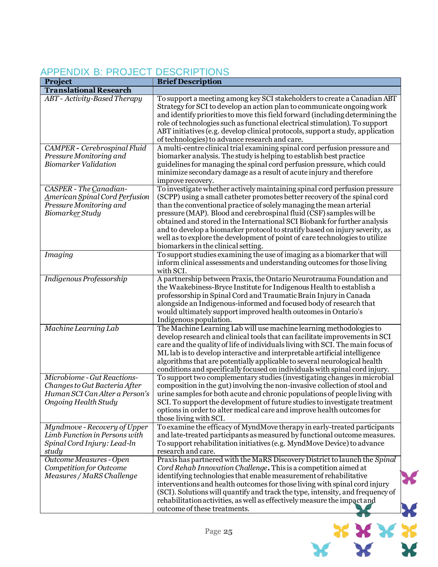#### **Project Brief Description Translational Research** *ABT - Activity-Based Therapy* To support a meeting among key SCI stakeholders to create a Canadian ABT Strategy for SCI to develop an action plan to communicate ongoing work and identify priorities to move this field forward (including determining the role of technologies such as functional electrical stimulation). To support ABT initiatives (e.g. develop clinical protocols, support a study, application of technologies) to advance research and care. *CAMPER - Cerebrospinal Fluid Pressure Monitoring and Biomarker Validation* A multi-centre clinical trial examining spinal cord perfusion pressure and biomarker analysis. The study is helping to establish best practice guidelines for managing the spinal cord perfusion pressure, which could minimize secondary damage as a result of acute injury and therefore improve recovery. *CASPER - The Canadian-American Spinal Cord Perfusion Pressure Monitoring and Biomarker Study*  To investigate whether actively maintaining spinal cord perfusion pressure (SCPP) using a small catheter promotes better recovery of the spinal cord than the conventional practice of solely managing the mean arterial pressure (MAP). Blood and cerebrospinal fluid (CSF) samples will be obtained and stored in the International SCI Biobank for further analysis and to develop a biomarker protocol to stratify based on injury severity, as well as to explore the development of point of care technologies to utilize biomarkers in the clinical setting. *Imaging* To support studies examining the use of imaging as a biomarker that will inform clinical assessments and understanding outcomes for those living with SCI. *Indigenous Professorship* A partnership between Praxis, the Ontario Neurotrauma Foundation and the Waakebiness-Bryce Institute for Indigenous Health to establish a professorship in Spinal Cord and Traumatic Brain Injury in Canada alongside an Indigenous-informed and focused body of research that would ultimately support improved health outcomes in Ontario's Indigenous population. *Machine Learning Lab* The Machine Learning Lab will use machine learning methodologies to develop research and clinical tools that can facilitate improvements in SCI care and the quality of life of individuals living with SCI. The main focus of ML lab is to develop interactive and interpretable artificial intelligence algorithms that are potentially applicable to several neurological health conditions and specifically focused on individuals with spinal cord injury. *Microbiome - Gut Reactions-Changes to Gut Bacteria After Human SCI Can Alter a Person's Ongoing Health Study* To support two complementary studies (investigating changes in microbial composition in the gut) involving the non-invasive collection of stool and urine samples for both acute and chronic populations of people living with SCI. To support the development of future studies to investigate treatment options in order to alter medical care and improve health outcomes for those living with SCI. *Myndmove - Recovery of Upper Limb Function in Persons with Spinal Cord Injury: Lead-ln study*  To examine the efficacy of MyndMove therapy in early-treated participants and late-treated participants as measured by functional outcome measures. To support rehabilitation initiatives (e.g. MyndMove Device) to advance research and care. *Outcome Measures - Open Competition for Outcome Measures / MaRS Challenge* Praxis has partnered with the MaRS Discovery District to launch the *Spinal Cord Rehab Innovation Challenge***.** This is a competition aimed at identifying technologies that enable measurement of rehabilitative interventions and health outcomes for those living with spinal cord injury (SCI). Solutions will quantify and track the type, intensity, and frequency of rehabilitation activities, as well as effectively measure the impact and outcome of these treatments.

### APPENDIX B: PROJECT DESCRIPTIONS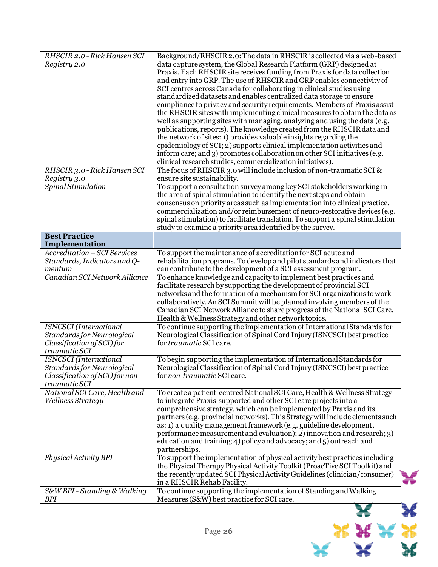| RHSCIR 2.0 - Rick Hansen SCI    | Background/RHSCIR 2.0: The data in RHSCIR is collected via a web-based                                                                        |
|---------------------------------|-----------------------------------------------------------------------------------------------------------------------------------------------|
| Registry 2.0                    | data capture system, the Global Research Platform (GRP) designed at                                                                           |
|                                 | Praxis. Each RHSCIR site receives funding from Praxis for data collection                                                                     |
|                                 | and entry into GRP. The use of RHSCIR and GRP enables connectivity of                                                                         |
|                                 | SCI centres across Canada for collaborating in clinical studies using                                                                         |
|                                 | standardized datasets and enables centralized data storage to ensure                                                                          |
|                                 | compliance to privacy and security requirements. Members of Praxis assist                                                                     |
|                                 | the RHSCIR sites with implementing clinical measures to obtain the data as                                                                    |
|                                 | well as supporting sites with managing, analyzing and using the data (e.g.                                                                    |
|                                 | publications, reports). The knowledge created from the RHSCIR data and                                                                        |
|                                 | the network of sites: 1) provides valuable insights regarding the                                                                             |
|                                 | epidemiology of SCI; 2) supports clinical implementation activities and                                                                       |
|                                 | inform care; and 3) promotes collaboration on other SCI initiatives (e.g.                                                                     |
|                                 | clinical research studies, commercialization initiatives).                                                                                    |
| RHSCIR 3.0 - Rick Hansen SCI    | The focus of RHSCIR 3.0 will include inclusion of non-traumatic SCI &                                                                         |
| Registry 3.0                    | ensure site sustainability.                                                                                                                   |
| Spinal Stimulation              | To support a consultation survey among key SCI stakeholders working in                                                                        |
|                                 | the area of spinal stimulation to identify the next steps and obtain                                                                          |
|                                 | consensus on priority areas such as implementation into clinical practice,                                                                    |
|                                 | commercialization and/or reimbursement of neuro-restorative devices (e.g.                                                                     |
|                                 | spinal stimulation) to facilitate translation. To support a spinal stimulation<br>study to examine a priority area identified by the survey.  |
| <b>Best Practice</b>            |                                                                                                                                               |
| Implementation                  |                                                                                                                                               |
| Accreditation - SCI Services    | To support the maintenance of accreditation for SCI acute and                                                                                 |
| Standards, Indicators and Q-    | rehabilitation programs. To develop and pilot standards and indicators that                                                                   |
| mentum                          | can contribute to the development of a SCI assessment program.                                                                                |
| Canadian SCI Network Alliance   | To enhance knowledge and capacity to implement best practices and                                                                             |
|                                 | facilitate research by supporting the development of provincial SCI                                                                           |
|                                 | networks and the formation of a mechanism for SCI organizations to work                                                                       |
|                                 | collaboratively. An SCI Summit will be planned involving members of the                                                                       |
|                                 | Canadian SCI Network Alliance to share progress of the National SCI Care,                                                                     |
|                                 | Health & Wellness Strategy and other network topics.                                                                                          |
| <b>ISNCSCI</b> (International   | To continue supporting the implementation of International Standards for                                                                      |
| Standards for Neurological      | Neurological Classification of Spinal Cord Injury (ISNCSCI) best practice                                                                     |
| Classification of SCI) for      | for traumatic SCI care.                                                                                                                       |
| traumatic SCI                   |                                                                                                                                               |
| <b>ISNCSCI</b> (International   | To begin supporting the implementation of International Standards for                                                                         |
| Standards for Neurological      | Neurological Classification of Spinal Cord Injury (ISNCSCI) best practice                                                                     |
| Classification of SCI) for non- | for non-traumatic SCI care.                                                                                                                   |
| traumatic SCI                   |                                                                                                                                               |
| National SCI Care, Health and   | To create a patient-centred National SCI Care, Health & Wellness Strategy                                                                     |
| Wellness Strategy               | to integrate Praxis-supported and other SCI care projects into a                                                                              |
|                                 | comprehensive strategy, which can be implemented by Praxis and its                                                                            |
|                                 | partners (e.g. provincial networks). This Strategy will include elements such                                                                 |
|                                 | as: 1) a quality management framework (e.g. guideline development,<br>performance measurement and evaluation); 2) innovation and research; 3) |
|                                 | education and training; 4) policy and advocacy; and 5) outreach and                                                                           |
|                                 | partnerships.                                                                                                                                 |
| Physical Activity BPI           | To support the implementation of physical activity best practices including                                                                   |
|                                 | the Physical Therapy Physical Activity Toolkit (ProacTive SCI Toolkit) and                                                                    |
|                                 | the recently updated SCI Physical Activity Guidelines (clinician/consumer)                                                                    |
|                                 | in a RHSCIR Rehab Facility.                                                                                                                   |
| S&W BPI - Standing & Walking    | To continue supporting the implementation of Standing and Walking                                                                             |
| BPI                             | Measures (S&W) best practice for SCI care.                                                                                                    |
|                                 |                                                                                                                                               |

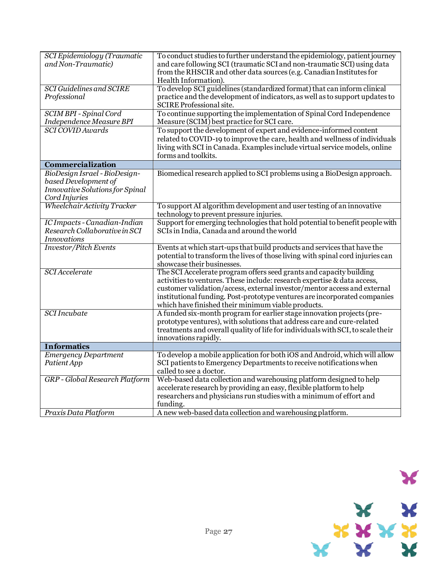| SCI Epidemiology (Traumatic<br>and Non-Traumatic)                                                         | To conduct studies to further understand the epidemiology, patient journey<br>and care following SCI (traumatic SCI and non-traumatic SCI) using data<br>from the RHSCIR and other data sources (e.g. Canadian Institutes for<br>Health Information).                                                                                                          |
|-----------------------------------------------------------------------------------------------------------|----------------------------------------------------------------------------------------------------------------------------------------------------------------------------------------------------------------------------------------------------------------------------------------------------------------------------------------------------------------|
| <b>SCI Guidelines and SCIRE</b><br>Professional                                                           | To develop SCI guidelines (standardized format) that can inform clinical<br>practice and the development of indicators, as well as to support updates to<br>SCIRE Professional site.                                                                                                                                                                           |
| <b>SCIM BPI - Spinal Cord</b><br><b>Independence Measure BPI</b>                                          | To continue supporting the implementation of Spinal Cord Independence<br>Measure (SCIM) best practice for SCI care.                                                                                                                                                                                                                                            |
| <b>SCI COVID Awards</b>                                                                                   | To support the development of expert and evidence-informed content<br>related to COVID-19 to improve the care, health and wellness of individuals<br>living with SCI in Canada. Examples include virtual service models, online<br>forms and toolkits.                                                                                                         |
| Commercialization                                                                                         |                                                                                                                                                                                                                                                                                                                                                                |
| BioDesign Israel - BioDesign-<br>based Development of<br>Innovative Solutions for Spinal<br>Cord Injuries | Biomedical research applied to SCI problems using a BioDesign approach.                                                                                                                                                                                                                                                                                        |
| Wheelchair Activity Tracker                                                                               | To support AI algorithm development and user testing of an innovative<br>technology to prevent pressure injuries.                                                                                                                                                                                                                                              |
| IC Impacts - Canadian-Indian<br>Research Collaborative in SCI<br><b>Innovations</b>                       | Support for emerging technologies that hold potential to benefit people with<br>SCIs in India, Canada and around the world                                                                                                                                                                                                                                     |
| <b>Investor/Pitch Events</b>                                                                              | Events at which start-ups that build products and services that have the<br>potential to transform the lives of those living with spinal cord injuries can<br>showcase their businesses.                                                                                                                                                                       |
| <b>SCI</b> Accelerate                                                                                     | The SCI Accelerate program offers seed grants and capacity building<br>activities to ventures. These include: research expertise & data access,<br>customer validation/access, external investor/mentor access and external<br>institutional funding. Post-prototype ventures are incorporated companies<br>which have finished their minimum viable products. |
| <b>SCI</b> Incubate                                                                                       | A funded six-month program for earlier stage innovation projects (pre-<br>prototype ventures), with solutions that address care and cure-related<br>treatments and overall quality of life for individuals with SCI, to scale their<br>innovations rapidly.                                                                                                    |
| <b>Informatics</b>                                                                                        |                                                                                                                                                                                                                                                                                                                                                                |
| <b>Emergency Department</b><br>Patient App                                                                | To develop a mobile application for both iOS and Android, which will allow<br>SCI patients to Emergency Departments to receive notifications when<br>called to see a doctor.                                                                                                                                                                                   |
| GRP - Global Research Platform                                                                            | Web-based data collection and warehousing platform designed to help<br>accelerate research by providing an easy, flexible platform to help<br>researchers and physicians run studies with a minimum of effort and<br>funding.                                                                                                                                  |
| Praxis Data Platform                                                                                      | A new web-based data collection and warehousing platform.                                                                                                                                                                                                                                                                                                      |

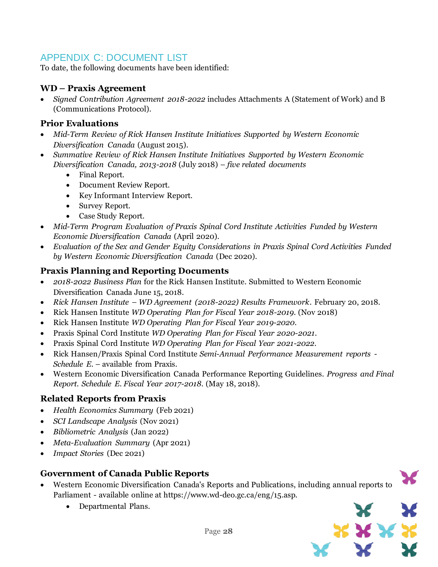### APPENDIX C: DOCUMENT LIST

To date, the following documents have been identified:

### **WD – Praxis Agreement**

• *Signed Contribution Agreement 2018-2022* includes Attachments A (Statement of Work) and B (Communications Protocol).

#### **Prior Evaluations**

- *Mid-Term Review of Rick Hansen Institute Initiatives Supported by Western Economic Diversification Canada* (August 2015).
- *Summative Review of Rick Hansen Institute Initiatives Supported by Western Economic Diversification Canada, 2013-2018* (July 2018) – *five related documents*
	- Final Report.
	- Document Review Report.
	- Key Informant Interview Report.
	- Survey Report.
	- Case Study Report.
- *Mid-Term Program Evaluation of Praxis Spinal Cord Institute Activities Funded by Western Economic Diversification Canada* (April 2020).
- *Evaluation of the Sex and Gender Equity Considerations in Praxis Spinal Cord Activities Funded by Western Economic Diversification Canada* (Dec 2020)*.*

#### **Praxis Planning and Reporting Documents**

- *2018-2022 Business Plan* for the Rick Hansen Institute. Submitted to Western Economic Diversification Canada June 15, 2018.
- *Rick Hansen Institute – WD Agreement (2018-2022) Results Framework*. February 20, 2018.
- Rick Hansen Institute *WD Operating Plan for Fiscal Year 2018-2019*. (Nov 2018)
- Rick Hansen Institute *WD Operating Plan for Fiscal Year 2019-2020*.
- Praxis Spinal Cord Institute *WD Operating Plan for Fiscal Year 2020-2021*.
- Praxis Spinal Cord Institute *WD Operating Plan for Fiscal Year 2021-2022*.
- Rick Hansen/Praxis Spinal Cord Institute *Semi-Annual Performance Measurement reports - Schedule E.* – available from Praxis.
- Western Economic Diversification Canada Performance Reporting Guidelines. *Progress and Final Report. Schedule E. Fiscal Year 2017-2018*. (May 18, 2018).

#### **Related Reports from Praxis**

- *Health Economics Summary* (Feb 2021)
- *SCI Landscape Analysis* (Nov 2021)
- *Bibliometric Analysis* (Jan 2022)
- *Meta-Evaluation Summary* (Apr 2021)
- *Impact Stories* (Dec 2021)

#### **Government of Canada Public Reports**

- Western Economic Diversification Canada's Reports and Publications, including annual reports to Parliament - available online at https://www.wd-deo.gc.ca/eng/15.asp.
	- Departmental Plans.

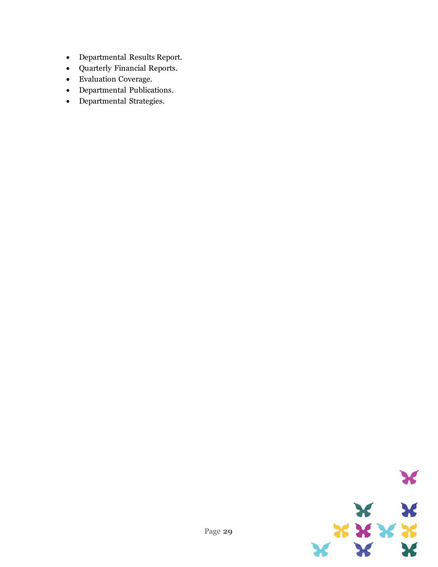- Departmental Results Report.
- Quarterly Financial Reports.
- Evaluation Coverage.
- Departmental Publications.
- Departmental Strategies.

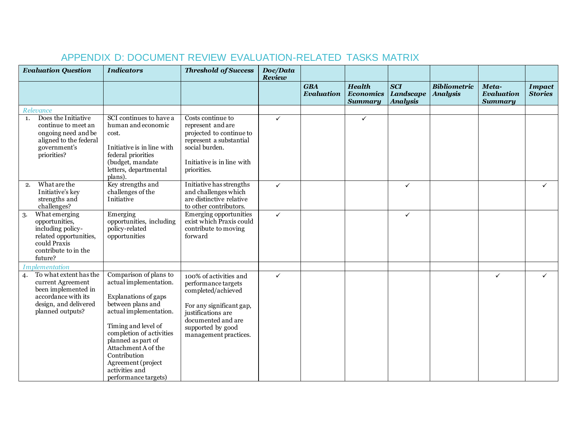| <b>Evaluation Question</b>                                                                                                                   | <b>Indicators</b>                                                                                                                                                                                                                                                                                       | <b>Threshold of Success</b>                                                                                                                                                               | Doc/Data<br>Review |                                 |                                                     |                                                   |                                        |                                              |                                 |
|----------------------------------------------------------------------------------------------------------------------------------------------|---------------------------------------------------------------------------------------------------------------------------------------------------------------------------------------------------------------------------------------------------------------------------------------------------------|-------------------------------------------------------------------------------------------------------------------------------------------------------------------------------------------|--------------------|---------------------------------|-----------------------------------------------------|---------------------------------------------------|----------------------------------------|----------------------------------------------|---------------------------------|
|                                                                                                                                              |                                                                                                                                                                                                                                                                                                         |                                                                                                                                                                                           |                    | <b>GBA</b><br><b>Evaluation</b> | <b>Health</b><br><b>Economics</b><br><b>Summary</b> | <b>SCI</b><br><b>Landscape</b><br><b>Analysis</b> | <b>Bibliometric</b><br><b>Analysis</b> | Meta-<br><b>Evaluation</b><br><b>Summary</b> | <b>Impact</b><br><b>Stories</b> |
| Relevance                                                                                                                                    |                                                                                                                                                                                                                                                                                                         |                                                                                                                                                                                           |                    |                                 |                                                     |                                                   |                                        |                                              |                                 |
| Does the Initiative<br>1.<br>continue to meet an<br>ongoing need and be<br>aligned to the federal<br>government's<br>priorities?             | SCI continues to have a<br>human and economic<br>cost.<br>Initiative is in line with<br>federal priorities<br>(budget, mandate)<br>letters, departmental<br>plans).                                                                                                                                     | Costs continue to<br>represent and are<br>projected to continue to<br>represent a substantial<br>social burden.<br>Initiative is in line with<br>priorities.                              | ✓                  |                                 | $\checkmark$                                        |                                                   |                                        |                                              |                                 |
| What are the<br>2.<br>Initiative's key<br>strengths and<br>challenges?                                                                       | Key strengths and<br>challenges of the<br>Initiative                                                                                                                                                                                                                                                    | Initiative has strengths<br>and challenges which<br>are distinctive relative<br>to other contributors.                                                                                    | ✓                  |                                 |                                                     | $\checkmark$                                      |                                        |                                              | ✓                               |
| What emerging<br>3.<br>opportunities,<br>including policy-<br>related opportunities,<br>could Praxis<br>contribute to in the<br>future?      | Emerging<br>opportunities, including<br>policy-related<br>opportunities                                                                                                                                                                                                                                 | Emerging opportunities<br>exist which Praxis could<br>contribute to moving<br>forward                                                                                                     | $\checkmark$       |                                 |                                                     | $\checkmark$                                      |                                        |                                              |                                 |
| <b>Implementation</b>                                                                                                                        |                                                                                                                                                                                                                                                                                                         |                                                                                                                                                                                           |                    |                                 |                                                     |                                                   |                                        |                                              |                                 |
| To what extent has the<br>4.<br>current Agreement<br>been implemented in<br>accordance with its<br>design, and delivered<br>planned outputs? | Comparison of plans to<br>actual implementation.<br>Explanations of gaps<br>between plans and<br>actual implementation.<br>Timing and level of<br>completion of activities<br>planned as part of<br>Attachment A of the<br>Contribution<br>Agreement (project<br>activities and<br>performance targets) | 100% of activities and<br>performance targets<br>completed/achieved<br>For any significant gap,<br>justifications are<br>documented and are<br>supported by good<br>management practices. | ✓                  |                                 |                                                     |                                                   |                                        | $\checkmark$                                 | $\checkmark$                    |

### APPENDIX D: DOCUMENT REVIEW EVALUATION-RELATED TASKS MATRIX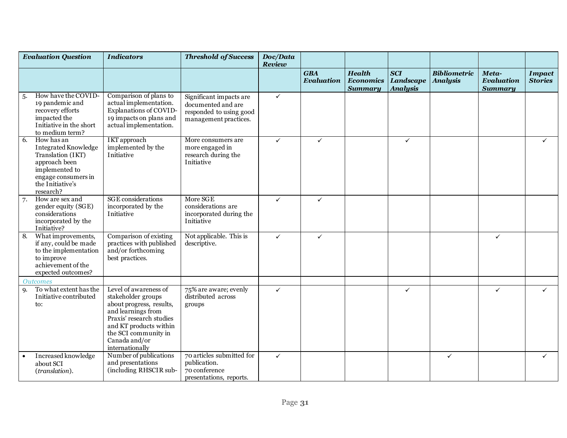|     | <b>Evaluation Question</b>                                                                                                                                | <b>Indicators</b>                                                                                                                                                                                               | <b>Threshold of Success</b>                                                                       | Doc/Data<br><b>Review</b> |                                 |                                                     |                                                   |                                        |                                              |                                 |
|-----|-----------------------------------------------------------------------------------------------------------------------------------------------------------|-----------------------------------------------------------------------------------------------------------------------------------------------------------------------------------------------------------------|---------------------------------------------------------------------------------------------------|---------------------------|---------------------------------|-----------------------------------------------------|---------------------------------------------------|----------------------------------------|----------------------------------------------|---------------------------------|
|     |                                                                                                                                                           |                                                                                                                                                                                                                 |                                                                                                   |                           | <b>GBA</b><br><b>Evaluation</b> | <b>Health</b><br><b>Economics</b><br><b>Summary</b> | <b>SCI</b><br><b>Landscape</b><br><b>Analysis</b> | <b>Bibliometric</b><br><b>Analysis</b> | Meta-<br><b>Evaluation</b><br><b>Summary</b> | <b>Impact</b><br><b>Stories</b> |
| -5. | How have the COVID-<br>19 pandemic and<br>recovery efforts<br>impacted the<br>Initiative in the short<br>to medium term?                                  | Comparison of plans to<br>actual implementation.<br>Explanations of COVID-<br>19 impacts on plans and<br>actual implementation.                                                                                 | Significant impacts are<br>documented and are<br>responded to using good<br>management practices. | ✓                         |                                 |                                                     |                                                   |                                        |                                              |                                 |
| 6.  | How has an<br><b>Integrated Knowledge</b><br>Translation (IKT)<br>approach been<br>implemented to<br>engage consumers in<br>the Initiative's<br>research? | <b>IKT</b> approach<br>implemented by the<br>Initiative                                                                                                                                                         | More consumers are<br>more engaged in<br>research during the<br>Initiative                        | $\checkmark$              | $\checkmark$                    |                                                     | $\checkmark$                                      |                                        |                                              | ✓                               |
| 7.  | How are sex and<br>gender equity (SGE)<br>considerations<br>incorporated by the<br>Initiative?                                                            | <b>SGE</b> considerations<br>incorporated by the<br>Initiative                                                                                                                                                  | More SGE<br>considerations are<br>incorporated during the<br>Initiative                           | ✓                         | $\checkmark$                    |                                                     |                                                   |                                        |                                              |                                 |
| 8.  | What improvements,<br>if any, could be made<br>to the implementation<br>to improve<br>achievement of the<br>expected outcomes?                            | Comparison of existing<br>practices with published<br>and/or forthcoming<br>best practices.                                                                                                                     | Not applicable. This is<br>descriptive.                                                           | $\checkmark$              | $\checkmark$                    |                                                     |                                                   |                                        | $\checkmark$                                 |                                 |
|     | <i><b>Outcomes</b></i>                                                                                                                                    |                                                                                                                                                                                                                 |                                                                                                   |                           |                                 |                                                     |                                                   |                                        |                                              |                                 |
| 9.  | To what extent has the<br>Initiative contributed<br>to:                                                                                                   | Level of awareness of<br>stakeholder groups<br>about progress, results,<br>and learnings from<br>Praxis' research studies<br>and KT products within<br>the SCI community in<br>Canada and/or<br>internationally | 75% are aware; evenly<br>distributed across<br>groups                                             | $\checkmark$              |                                 |                                                     | ✓                                                 |                                        | $\checkmark$                                 | ✓                               |
|     | Increased knowledge<br>about SCI<br>(translation).                                                                                                        | Number of publications<br>and presentations<br>(including RHSCIR sub-                                                                                                                                           | 70 articles submitted for<br>publication.<br>70 conference<br>presentations, reports.             | $\checkmark$              |                                 |                                                     |                                                   | $\checkmark$                           |                                              | $\checkmark$                    |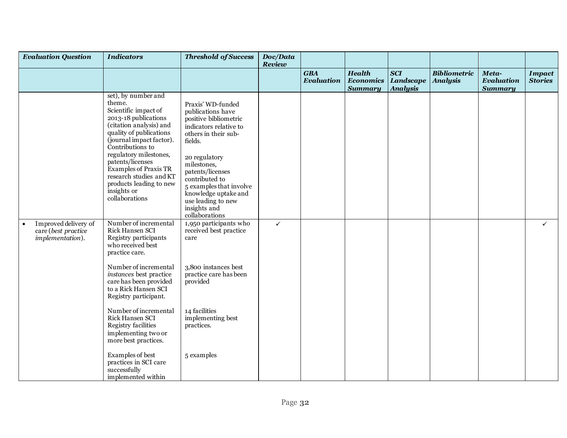|           | <b>Evaluation Question</b>                                      | <b>Indicators</b>                                                                                                                                                                                                                                                                                                                                        | <b>Threshold of Success</b>                                                                                                                                                                                                                                                                                   | Doc/Data<br>Review |                                 |                                                     |                                                   |                                        |                                              |                                 |
|-----------|-----------------------------------------------------------------|----------------------------------------------------------------------------------------------------------------------------------------------------------------------------------------------------------------------------------------------------------------------------------------------------------------------------------------------------------|---------------------------------------------------------------------------------------------------------------------------------------------------------------------------------------------------------------------------------------------------------------------------------------------------------------|--------------------|---------------------------------|-----------------------------------------------------|---------------------------------------------------|----------------------------------------|----------------------------------------------|---------------------------------|
|           |                                                                 |                                                                                                                                                                                                                                                                                                                                                          |                                                                                                                                                                                                                                                                                                               |                    | <b>GBA</b><br><b>Evaluation</b> | <b>Health</b><br><b>Economics</b><br><b>Summary</b> | <b>SCI</b><br><b>Landscape</b><br><b>Analysis</b> | <b>Bibliometric</b><br><b>Analysis</b> | Meta-<br><b>Evaluation</b><br><b>Summary</b> | <b>Impact</b><br><b>Stories</b> |
|           |                                                                 | set), by number and<br>theme.<br>Scientific impact of<br>2013-18 publications<br>(citation analysis) and<br>quality of publications<br>(journal impact factor).<br>Contributions to<br>regulatory milestones,<br>patents/licenses<br><b>Examples of Praxis TR</b><br>research studies and KT<br>products leading to new<br>insights or<br>collaborations | Praxis' WD-funded<br>publications have<br>positive bibliometric<br>indicators relative to<br>others in their sub-<br>fields.<br>20 regulatory<br>milestones,<br>patents/licenses<br>contributed to<br>5 examples that involve<br>knowledge uptake and<br>use leading to new<br>insights and<br>collaborations |                    |                                 |                                                     |                                                   |                                        |                                              |                                 |
| $\bullet$ | Improved delivery of<br>care (best practice<br>implementation). | Number of incremental<br>Rick Hansen SCI<br>Registry participants<br>who received best<br>practice care.                                                                                                                                                                                                                                                 | 1,950 participants who<br>received best practice<br>care                                                                                                                                                                                                                                                      | $\checkmark$       |                                 |                                                     |                                                   |                                        |                                              | $\checkmark$                    |
|           |                                                                 | Number of incremental<br>instances best practice<br>care has been provided<br>to a Rick Hansen SCI<br>Registry participant.                                                                                                                                                                                                                              | 3,800 instances best<br>practice care has been<br>provided                                                                                                                                                                                                                                                    |                    |                                 |                                                     |                                                   |                                        |                                              |                                 |
|           |                                                                 | Number of incremental<br>Rick Hansen SCI<br>Registry facilities<br>implementing two or<br>more best practices.                                                                                                                                                                                                                                           | 14 facilities<br>implementing best<br>practices.                                                                                                                                                                                                                                                              |                    |                                 |                                                     |                                                   |                                        |                                              |                                 |
|           |                                                                 | Examples of best<br>practices in SCI care<br>successfully<br>implemented within                                                                                                                                                                                                                                                                          | 5 examples                                                                                                                                                                                                                                                                                                    |                    |                                 |                                                     |                                                   |                                        |                                              |                                 |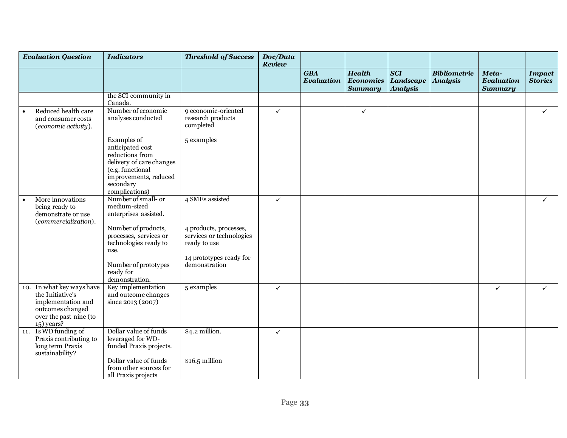| <b>Evaluation Question</b>                                                                                                        | <b>Indicators</b>                                                                                                                                          | <b>Threshold of Success</b>                                        | Doc/Data<br>Review |                                 |                                                     |                                                   |                                        |                                              |                                 |
|-----------------------------------------------------------------------------------------------------------------------------------|------------------------------------------------------------------------------------------------------------------------------------------------------------|--------------------------------------------------------------------|--------------------|---------------------------------|-----------------------------------------------------|---------------------------------------------------|----------------------------------------|----------------------------------------------|---------------------------------|
|                                                                                                                                   |                                                                                                                                                            |                                                                    |                    | <b>GBA</b><br><b>Evaluation</b> | <b>Health</b><br><b>Economics</b><br><b>Summary</b> | <b>SCI</b><br><b>Landscape</b><br><b>Analysis</b> | <b>Bibliometric</b><br><b>Analysis</b> | Meta-<br><b>Evaluation</b><br><b>Summary</b> | <b>Impact</b><br><b>Stories</b> |
|                                                                                                                                   | the SCI community in<br>Canada.                                                                                                                            |                                                                    |                    |                                 |                                                     |                                                   |                                        |                                              |                                 |
| Reduced health care<br>and consumer costs<br>(economic activity).                                                                 | Number of economic<br>analyses conducted                                                                                                                   | 9 economic-oriented<br>research products<br>completed              | $\checkmark$       |                                 | $\checkmark$                                        |                                                   |                                        |                                              | $\checkmark$                    |
|                                                                                                                                   | Examples of<br>anticipated cost<br>reductions from<br>delivery of care changes<br>(e.g. functional<br>improvements, reduced<br>secondary<br>complications) | 5 examples                                                         |                    |                                 |                                                     |                                                   |                                        |                                              |                                 |
| More innovations<br>being ready to<br>demonstrate or use<br>(commercialization).                                                  | Number of small- or<br>medium-sized<br>enterprises assisted.                                                                                               | 4 SMEs assisted                                                    | $\checkmark$       |                                 |                                                     |                                                   |                                        |                                              | $\checkmark$                    |
|                                                                                                                                   | Number of products,<br>processes, services or<br>technologies ready to<br>use.                                                                             | 4 products, processes,<br>services or technologies<br>ready to use |                    |                                 |                                                     |                                                   |                                        |                                              |                                 |
|                                                                                                                                   | Number of prototypes<br>ready for<br>demonstration.                                                                                                        | 14 prototypes ready for<br>demonstration                           |                    |                                 |                                                     |                                                   |                                        |                                              |                                 |
| 10. In what key ways have<br>the Initiative's<br>implementation and<br>outcomes changed<br>over the past nine (to<br>$15)$ years? | Key implementation<br>and outcome changes<br>since 2013 (2007)                                                                                             | 5 examples                                                         | $\checkmark$       |                                 |                                                     |                                                   |                                        | $\checkmark$                                 | $\checkmark$                    |
| 11. Is WD funding of<br>Praxis contributing to<br>long term Praxis<br>sustainability?                                             | Dollar value of funds<br>leveraged for WD-<br>funded Praxis projects.                                                                                      | \$4.2 million.                                                     | ✓                  |                                 |                                                     |                                                   |                                        |                                              |                                 |
|                                                                                                                                   | Dollar value of funds<br>from other sources for<br>all Praxis projects                                                                                     | $$16.5$ million                                                    |                    |                                 |                                                     |                                                   |                                        |                                              |                                 |